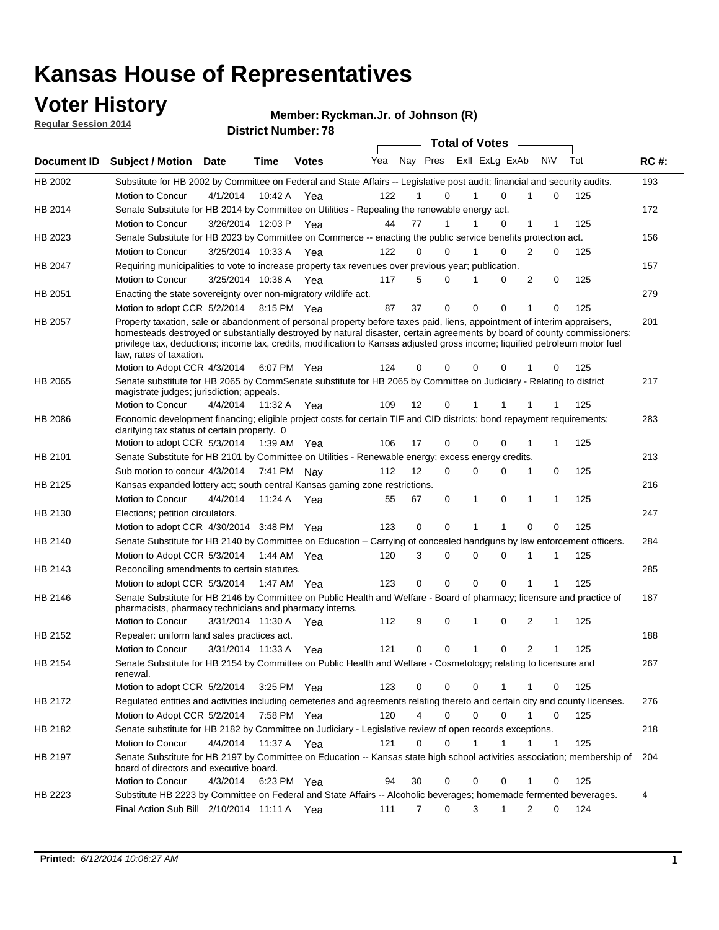### **Voter History**

**Regular Session 2014**

**Ryckman.Jr. of Johnson (R)**

| <b>District Number: 78</b> |  |
|----------------------------|--|
|                            |  |

|                |                                                                                                                                                                                                                                                                                                                                                                                                                  |                      |             |              |     |                |                                 |   | <b>Total of Votes</b> |             |                |             |     |             |
|----------------|------------------------------------------------------------------------------------------------------------------------------------------------------------------------------------------------------------------------------------------------------------------------------------------------------------------------------------------------------------------------------------------------------------------|----------------------|-------------|--------------|-----|----------------|---------------------------------|---|-----------------------|-------------|----------------|-------------|-----|-------------|
| Document ID    | <b>Subject / Motion</b>                                                                                                                                                                                                                                                                                                                                                                                          | Date                 | <b>Time</b> | <b>Votes</b> |     |                | Yea Nay Pres ExII ExLg ExAb N\V |   |                       |             |                |             | Tot | <b>RC#:</b> |
| HB 2002        | Substitute for HB 2002 by Committee on Federal and State Affairs -- Legislative post audit; financial and security audits.                                                                                                                                                                                                                                                                                       |                      |             |              |     |                |                                 |   |                       |             |                |             |     | 193         |
|                | Motion to Concur                                                                                                                                                                                                                                                                                                                                                                                                 | 4/1/2014             | 10:42 A     | Yea          | 122 |                | $\Omega$                        |   | 1                     | $\Omega$    |                | $\mathbf 0$ | 125 |             |
| HB 2014        | Senate Substitute for HB 2014 by Committee on Utilities - Repealing the renewable energy act.                                                                                                                                                                                                                                                                                                                    |                      |             |              |     |                |                                 |   |                       |             |                |             |     | 172         |
|                | Motion to Concur                                                                                                                                                                                                                                                                                                                                                                                                 | 3/26/2014 12:03 P    |             | Yea          | 44  | 77             | $\mathbf{1}$                    |   | 1                     | 0           | 1              | 1           | 125 |             |
| HB 2023        | Senate Substitute for HB 2023 by Committee on Commerce -- enacting the public service benefits protection act.                                                                                                                                                                                                                                                                                                   |                      |             |              |     |                |                                 |   |                       |             |                |             |     | 156         |
|                | Motion to Concur                                                                                                                                                                                                                                                                                                                                                                                                 | 3/25/2014 10:33 A    |             | - Yea        | 122 | 0              | $\Omega$                        | 1 |                       | $\Omega$    | 2              | 0           | 125 |             |
| HB 2047        | Requiring municipalities to vote to increase property tax revenues over previous year; publication.                                                                                                                                                                                                                                                                                                              |                      |             |              |     |                |                                 |   |                       |             |                |             |     | 157         |
|                | Motion to Concur                                                                                                                                                                                                                                                                                                                                                                                                 | 3/25/2014 10:38 A    |             | Yea          | 117 | 5              | $\Omega$                        | 1 |                       | $\Omega$    | 2              | 0           | 125 |             |
| HB 2051        | Enacting the state sovereignty over non-migratory wildlife act.                                                                                                                                                                                                                                                                                                                                                  |                      |             |              |     |                |                                 |   |                       |             |                |             |     | 279         |
|                | Motion to adopt CCR 5/2/2014 8:15 PM Yea                                                                                                                                                                                                                                                                                                                                                                         |                      |             |              | 87  | 37             | $\mathbf 0$                     |   | $\mathbf 0$           | 0           | 1              | 0           | 125 |             |
| HB 2057        | Property taxation, sale or abandonment of personal property before taxes paid, liens, appointment of interim appraisers,<br>homesteads destroyed or substantially destroyed by natural disaster, certain agreements by board of county commissioners;<br>privilege tax, deductions; income tax, credits, modification to Kansas adjusted gross income; liquified petroleum motor fuel<br>law, rates of taxation. |                      |             |              |     |                |                                 |   |                       |             |                |             |     | 201         |
|                | Motion to Adopt CCR 4/3/2014                                                                                                                                                                                                                                                                                                                                                                                     |                      |             | 6:07 PM Yea  | 124 | 0              | 0                               |   | 0                     | 0           |                | 0           | 125 |             |
| HB 2065        | Senate substitute for HB 2065 by CommSenate substitute for HB 2065 by Committee on Judiciary - Relating to district<br>magistrate judges; jurisdiction; appeals.                                                                                                                                                                                                                                                 |                      |             |              |     |                |                                 |   |                       |             |                |             |     | 217         |
|                | Motion to Concur                                                                                                                                                                                                                                                                                                                                                                                                 | 4/4/2014             | 11:32 A     | Yea          | 109 | 12             | 0                               |   |                       |             |                |             | 125 |             |
| <b>HB 2086</b> | Economic development financing; eligible project costs for certain TIF and CID districts; bond repayment requirements;<br>clarifying tax status of certain property. 0                                                                                                                                                                                                                                           |                      |             |              |     |                |                                 |   |                       |             |                |             |     | 283         |
|                | Motion to adopt CCR 5/3/2014 1:39 AM Yea                                                                                                                                                                                                                                                                                                                                                                         |                      |             |              | 106 | 17             | $\mathbf 0$                     |   | 0                     | 0           | 1              | 1           | 125 |             |
| HB 2101        | Senate Substitute for HB 2101 by Committee on Utilities - Renewable energy; excess energy credits.                                                                                                                                                                                                                                                                                                               |                      |             |              |     |                |                                 |   |                       |             |                |             |     | 213         |
|                | Sub motion to concur 4/3/2014 7:41 PM Nav                                                                                                                                                                                                                                                                                                                                                                        |                      |             |              | 112 | 12             | $\Omega$                        |   | 0                     | $\mathbf 0$ | 1              | 0           | 125 |             |
| HB 2125        | Kansas expanded lottery act; south central Kansas gaming zone restrictions.                                                                                                                                                                                                                                                                                                                                      |                      |             |              |     |                |                                 |   |                       |             |                |             |     | 216         |
|                | Motion to Concur                                                                                                                                                                                                                                                                                                                                                                                                 | 4/4/2014             | 11:24 A     | Yea          | 55  | 67             | 0                               |   | 1                     | 0           | 1              | 1           | 125 |             |
| HB 2130        | Elections; petition circulators.                                                                                                                                                                                                                                                                                                                                                                                 |                      |             |              |     |                |                                 |   |                       |             |                |             |     | 247         |
|                | Motion to adopt CCR 4/30/2014 3:48 PM Yea                                                                                                                                                                                                                                                                                                                                                                        |                      |             |              | 123 | 0              | 0                               |   | 1                     | 1           | $\Omega$       | 0           | 125 |             |
| HB 2140        | Senate Substitute for HB 2140 by Committee on Education – Carrying of concealed handguns by law enforcement officers.                                                                                                                                                                                                                                                                                            |                      |             |              |     |                |                                 |   |                       |             |                |             |     | 284         |
|                | Motion to Adopt CCR 5/3/2014 1:44 AM Yea                                                                                                                                                                                                                                                                                                                                                                         |                      |             |              | 120 | 3              | 0                               |   | 0                     | $\Omega$    |                | 1           | 125 |             |
| HB 2143        | Reconciling amendments to certain statutes.                                                                                                                                                                                                                                                                                                                                                                      |                      |             |              |     |                |                                 |   |                       |             |                |             |     | 285         |
|                | Motion to adopt CCR 5/3/2014 1:47 AM Yea                                                                                                                                                                                                                                                                                                                                                                         |                      |             |              | 123 | 0              | $\mathbf 0$                     |   | $\Omega$              | $\Omega$    | 1              |             | 125 |             |
| <b>HB 2146</b> | Senate Substitute for HB 2146 by Committee on Public Health and Welfare - Board of pharmacy; licensure and practice of<br>pharmacists, pharmacy technicians and pharmacy interns.                                                                                                                                                                                                                                |                      |             |              |     |                |                                 |   |                       |             |                |             |     | 187         |
|                | Motion to Concur                                                                                                                                                                                                                                                                                                                                                                                                 | 3/31/2014 11:30 A    |             | Yea          | 112 | 9              | 0                               |   | 1                     | 0           | 2              | 1           | 125 |             |
| HB 2152        | Repealer: uniform land sales practices act.                                                                                                                                                                                                                                                                                                                                                                      |                      |             |              |     |                |                                 |   |                       |             |                |             |     | 188         |
|                | Motion to Concur                                                                                                                                                                                                                                                                                                                                                                                                 | 3/31/2014 11:33 A    |             | Yea          | 121 | 0              | 0                               |   | 1                     | 0           | $\overline{2}$ | 1           | 125 |             |
| HB 2154        | Senate Substitute for HB 2154 by Committee on Public Health and Welfare - Cosmetology; relating to licensure and<br>renewal.                                                                                                                                                                                                                                                                                     |                      |             |              |     |                |                                 |   |                       |             |                |             |     | 267         |
|                | Motion to adopt CCR 5/2/2014                                                                                                                                                                                                                                                                                                                                                                                     |                      |             | 3:25 PM Yea  | 123 | 0              | 0                               |   | 0                     |             | 1              | 0           | 125 |             |
| HB 2172        | Regulated entities and activities including cemeteries and agreements relating thereto and certain city and county licenses.                                                                                                                                                                                                                                                                                     |                      |             |              |     |                |                                 |   |                       |             |                |             |     | 276         |
|                | Motion to Adopt CCR 5/2/2014                                                                                                                                                                                                                                                                                                                                                                                     |                      | 7:58 PM Yea |              | 120 | $\overline{4}$ | 0                               |   | 0                     | 0           | $\mathbf{1}$   | 0           | 125 |             |
| HB 2182        | Senate substitute for HB 2182 by Committee on Judiciary - Legislative review of open records exceptions.                                                                                                                                                                                                                                                                                                         |                      |             |              |     |                |                                 |   |                       |             |                |             |     | 218         |
|                | Motion to Concur                                                                                                                                                                                                                                                                                                                                                                                                 | 4/4/2014 11:37 A Yea |             |              | 121 | 0              | 0                               |   | 1                     | 1           | 1              | 1           | 125 |             |
| HB 2197        | Senate Substitute for HB 2197 by Committee on Education -- Kansas state high school activities association; membership of<br>board of directors and executive board.                                                                                                                                                                                                                                             |                      |             |              |     |                |                                 |   |                       |             |                |             |     | 204         |
|                | Motion to Concur                                                                                                                                                                                                                                                                                                                                                                                                 | 4/3/2014             |             | 6:23 PM Yea  | 94  | 30             | 0                               |   | $\mathbf 0$           | 0           | 1              | $\mathbf 0$ | 125 |             |
| HB 2223        | Substitute HB 2223 by Committee on Federal and State Affairs -- Alcoholic beverages; homemade fermented beverages.                                                                                                                                                                                                                                                                                               |                      |             |              |     |                |                                 |   |                       |             |                |             |     | 4           |
|                | Final Action Sub Bill 2/10/2014 11:11 A Yea                                                                                                                                                                                                                                                                                                                                                                      |                      |             |              | 111 | 7              | 0                               |   | 3                     | 1           | $\overline{2}$ | 0           | 124 |             |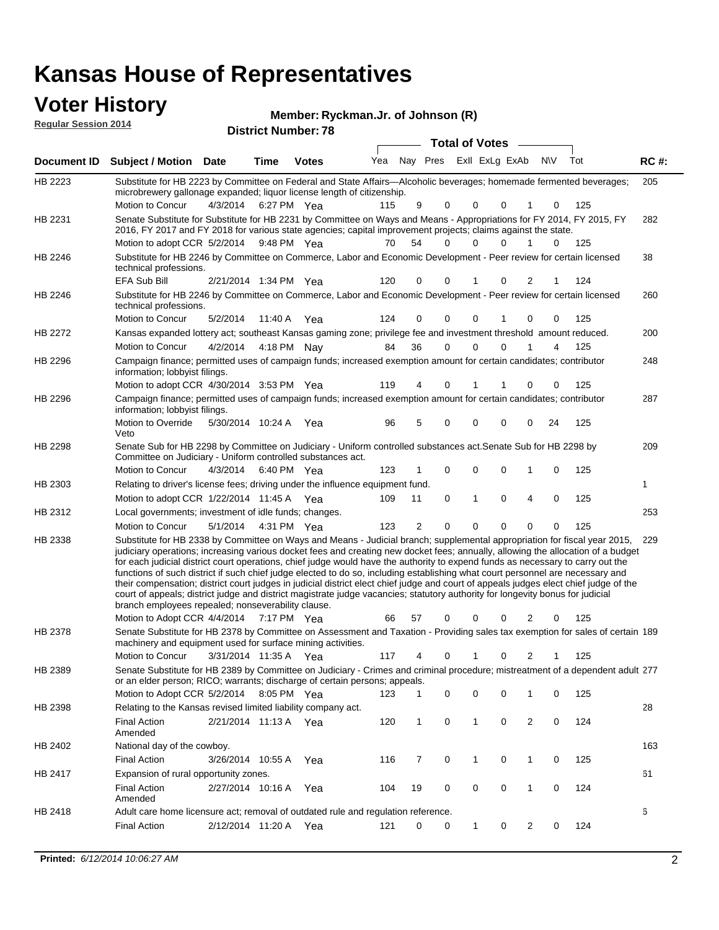### **Voter History**

| <b>VULGE LIISLUI Y</b><br><b>Reqular Session 2014</b> |                                                                                                                                                                                                                                        |          |             | Member: Ryckman.Jr. of Johnson (R)<br><b>District Number: 78</b> |     |    |          |                       |              |           |     |             |
|-------------------------------------------------------|----------------------------------------------------------------------------------------------------------------------------------------------------------------------------------------------------------------------------------------|----------|-------------|------------------------------------------------------------------|-----|----|----------|-----------------------|--------------|-----------|-----|-------------|
|                                                       |                                                                                                                                                                                                                                        |          |             |                                                                  |     |    |          | <b>Total of Votes</b> |              |           |     |             |
| Document ID                                           | <b>Subject / Motion Date</b>                                                                                                                                                                                                           |          | Time        | <b>Votes</b>                                                     | Yea |    | Nay Pres | Exll ExLg ExAb        |              | <b>NV</b> | Tot | <b>RC#:</b> |
| HB 2223                                               | Substitute for HB 2223 by Committee on Federal and State Affairs—Alcoholic beverages; homemade fermented beverages;<br>microbrewery gallonage expanded; liquor license length of citizenship.                                          |          |             |                                                                  |     |    |          |                       |              |           |     | 205         |
|                                                       | Motion to Concur                                                                                                                                                                                                                       | 4/3/2014 | 6:27 PM Yea |                                                                  | 115 | 9  | 0        | $\Omega$              | <sup>0</sup> | $\Omega$  | 125 |             |
| HB 2231                                               | Senate Substitute for Substitute for HB 2231 by Committee on Ways and Means - Appropriations for FY 2014, FY 2015, FY<br>2016, FY 2017 and FY 2018 for various state agencies; capital improvement projects; claims against the state. |          |             |                                                                  |     |    |          |                       |              |           |     | 282         |
|                                                       | Motion to adopt CCR 5/2/2014                                                                                                                                                                                                           |          | 9:48 PM Yea |                                                                  | 70  | 54 | 0        | 0                     | 0            |           | 125 |             |
| HB 2246                                               | Substitute for HB 2246 by Committee on Commerce, Labor and Economic Development - Peer review for certain licensed<br>tochnical profeccions                                                                                            |          |             |                                                                  |     |    |          |                       |              |           |     | 38          |

| HB 2246        | Substitute for HB 2246 by Committee on Commerce, Labor and Economic Development - Peer review for certain licensed<br>technical professions.                                                                                                                                                                                                                                                                                                                                                                                                                                                                                                                                                                                                                                                                                                                        |                       |             |     |     |                |             |              |             |                |             |     | 38  |
|----------------|---------------------------------------------------------------------------------------------------------------------------------------------------------------------------------------------------------------------------------------------------------------------------------------------------------------------------------------------------------------------------------------------------------------------------------------------------------------------------------------------------------------------------------------------------------------------------------------------------------------------------------------------------------------------------------------------------------------------------------------------------------------------------------------------------------------------------------------------------------------------|-----------------------|-------------|-----|-----|----------------|-------------|--------------|-------------|----------------|-------------|-----|-----|
|                | <b>EFA Sub Bill</b>                                                                                                                                                                                                                                                                                                                                                                                                                                                                                                                                                                                                                                                                                                                                                                                                                                                 | 2/21/2014 1:34 PM Yea |             |     | 120 | 0              | $\Omega$    | 1            | 0           | $\overline{2}$ | 1           | 124 |     |
| HB 2246        | Substitute for HB 2246 by Committee on Commerce, Labor and Economic Development - Peer review for certain licensed<br>technical professions.                                                                                                                                                                                                                                                                                                                                                                                                                                                                                                                                                                                                                                                                                                                        |                       |             |     |     |                |             |              |             |                |             |     | 260 |
|                | Motion to Concur                                                                                                                                                                                                                                                                                                                                                                                                                                                                                                                                                                                                                                                                                                                                                                                                                                                    | 5/2/2014              | 11:40 A     | Yea | 124 | 0              | $\Omega$    | $\mathbf 0$  | 1           | 0              | $\mathbf 0$ | 125 |     |
| HB 2272        | Kansas expanded lottery act; southeast Kansas gaming zone; privilege fee and investment threshold amount reduced.                                                                                                                                                                                                                                                                                                                                                                                                                                                                                                                                                                                                                                                                                                                                                   |                       |             |     |     |                |             |              |             |                |             |     | 200 |
|                | Motion to Concur                                                                                                                                                                                                                                                                                                                                                                                                                                                                                                                                                                                                                                                                                                                                                                                                                                                    | 4/2/2014              | 4:18 PM Nay |     | 84  | 36             | 0           | $\mathbf 0$  | 0           | 1              | 4           | 125 |     |
| HB 2296        | Campaign finance; permitted uses of campaign funds; increased exemption amount for certain candidates; contributor<br>information; lobbyist filings.                                                                                                                                                                                                                                                                                                                                                                                                                                                                                                                                                                                                                                                                                                                |                       |             |     |     |                |             |              |             |                |             |     | 248 |
|                | Motion to adopt CCR 4/30/2014 3:53 PM Yea                                                                                                                                                                                                                                                                                                                                                                                                                                                                                                                                                                                                                                                                                                                                                                                                                           |                       |             |     | 119 | 4              | 0           |              | 1           | 0              | 0           | 125 |     |
| HB 2296        | Campaign finance; permitted uses of campaign funds; increased exemption amount for certain candidates; contributor<br>information; lobbyist filings.                                                                                                                                                                                                                                                                                                                                                                                                                                                                                                                                                                                                                                                                                                                |                       |             |     |     |                |             |              |             |                |             |     | 287 |
|                | Motion to Override<br>Veto                                                                                                                                                                                                                                                                                                                                                                                                                                                                                                                                                                                                                                                                                                                                                                                                                                          | 5/30/2014 10:24 A Yea |             |     | 96  | 5              | 0           | $\mathbf 0$  | 0           | 0              | 24          | 125 |     |
| <b>HB 2298</b> | Senate Sub for HB 2298 by Committee on Judiciary - Uniform controlled substances act. Senate Sub for HB 2298 by<br>Committee on Judiciary - Uniform controlled substances act.                                                                                                                                                                                                                                                                                                                                                                                                                                                                                                                                                                                                                                                                                      |                       |             |     |     |                |             |              |             |                |             |     | 209 |
|                | Motion to Concur                                                                                                                                                                                                                                                                                                                                                                                                                                                                                                                                                                                                                                                                                                                                                                                                                                                    | 4/3/2014              | 6:40 PM Yea |     | 123 | 1              | 0           | $\mathbf 0$  | 0           | 1              | 0           | 125 |     |
| HB 2303        | Relating to driver's license fees; driving under the influence equipment fund.                                                                                                                                                                                                                                                                                                                                                                                                                                                                                                                                                                                                                                                                                                                                                                                      |                       |             |     |     |                |             |              |             |                |             |     | 1   |
|                | Motion to adopt CCR 1/22/2014 11:45 A Yea                                                                                                                                                                                                                                                                                                                                                                                                                                                                                                                                                                                                                                                                                                                                                                                                                           |                       |             |     | 109 | 11             | $\mathbf 0$ | $\mathbf{1}$ | 0           | 4              | $\mathbf 0$ | 125 |     |
| HB 2312        | Local governments; investment of idle funds; changes.                                                                                                                                                                                                                                                                                                                                                                                                                                                                                                                                                                                                                                                                                                                                                                                                               |                       |             |     |     |                |             |              |             |                |             |     | 253 |
|                | Motion to Concur                                                                                                                                                                                                                                                                                                                                                                                                                                                                                                                                                                                                                                                                                                                                                                                                                                                    | 5/1/2014              | 4:31 PM Yea |     | 123 | $\overline{2}$ | 0           | $\mathbf 0$  | 0           | 0              | $\mathbf 0$ | 125 |     |
| HB 2338        | Substitute for HB 2338 by Committee on Ways and Means - Judicial branch; supplemental appropriation for fiscal year 2015,<br>judiciary operations; increasing various docket fees and creating new docket fees; annually, allowing the allocation of a budget<br>for each judicial district court operations, chief judge would have the authority to expend funds as necessary to carry out the<br>functions of such district if such chief judge elected to do so, including establishing what court personnel are necessary and<br>their compensation; district court judges in judicial district elect chief judge and court of appeals judges elect chief judge of the<br>court of appeals; district judge and district magistrate judge vacancies; statutory authority for longevity bonus for judicial<br>branch employees repealed; nonseverability clause. |                       |             |     |     |                |             |              |             |                |             |     | 229 |
|                | Motion to Adopt CCR 4/4/2014 7:17 PM Yea                                                                                                                                                                                                                                                                                                                                                                                                                                                                                                                                                                                                                                                                                                                                                                                                                            |                       |             |     | 66  | 57             | 0           | $\Omega$     | 0           | 2              | 0           | 125 |     |
| HB 2378        | Senate Substitute for HB 2378 by Committee on Assessment and Taxation - Providing sales tax exemption for sales of certain 189<br>machinery and equipment used for surface mining activities.                                                                                                                                                                                                                                                                                                                                                                                                                                                                                                                                                                                                                                                                       |                       |             |     |     |                |             |              |             |                |             |     |     |
|                | Motion to Concur                                                                                                                                                                                                                                                                                                                                                                                                                                                                                                                                                                                                                                                                                                                                                                                                                                                    | 3/31/2014 11:35 A     |             | Yea | 117 | 4              | $\Omega$    | 1            | $\Omega$    | 2              | 1           | 125 |     |
| HB 2389        | Senate Substitute for HB 2389 by Committee on Judiciary - Crimes and criminal procedure; mistreatment of a dependent adult 277<br>or an elder person; RICO; warrants; discharge of certain persons; appeals.                                                                                                                                                                                                                                                                                                                                                                                                                                                                                                                                                                                                                                                        |                       |             |     |     |                |             |              |             |                |             |     |     |
|                | Motion to Adopt CCR 5/2/2014                                                                                                                                                                                                                                                                                                                                                                                                                                                                                                                                                                                                                                                                                                                                                                                                                                        |                       | 8:05 PM Yea |     | 123 | $\mathbf{1}$   | 0           | $\mathbf 0$  | $\mathbf 0$ | $\mathbf{1}$   | $\mathbf 0$ | 125 |     |
| HB 2398        | Relating to the Kansas revised limited liability company act.                                                                                                                                                                                                                                                                                                                                                                                                                                                                                                                                                                                                                                                                                                                                                                                                       |                       |             |     |     |                |             |              |             |                |             |     | 28  |
|                | <b>Final Action</b><br>Amended                                                                                                                                                                                                                                                                                                                                                                                                                                                                                                                                                                                                                                                                                                                                                                                                                                      | 2/21/2014 11:13 A     |             | Yea | 120 | $\mathbf{1}$   | 0           | $\mathbf{1}$ | 0           | $\overline{2}$ | $\mathbf 0$ | 124 |     |
| HB 2402        | National day of the cowboy.                                                                                                                                                                                                                                                                                                                                                                                                                                                                                                                                                                                                                                                                                                                                                                                                                                         |                       |             |     |     |                |             |              |             |                |             |     | 163 |
|                | <b>Final Action</b>                                                                                                                                                                                                                                                                                                                                                                                                                                                                                                                                                                                                                                                                                                                                                                                                                                                 | 3/26/2014 10:55 A     |             | Yea | 116 | 7              | 0           | $\mathbf{1}$ | 0           | $\mathbf{1}$   | $\mathbf 0$ | 125 |     |
| HB 2417        | Expansion of rural opportunity zones.                                                                                                                                                                                                                                                                                                                                                                                                                                                                                                                                                                                                                                                                                                                                                                                                                               |                       |             |     |     |                |             |              |             |                |             |     | 61  |
|                | <b>Final Action</b><br>Amended                                                                                                                                                                                                                                                                                                                                                                                                                                                                                                                                                                                                                                                                                                                                                                                                                                      | 2/27/2014 10:16 A     |             | Yea | 104 | 19             | $\Omega$    | $\mathbf 0$  | $\mathbf 0$ | 1              | $\mathbf 0$ | 124 |     |
| HB 2418        | Adult care home licensure act; removal of outdated rule and regulation reference.                                                                                                                                                                                                                                                                                                                                                                                                                                                                                                                                                                                                                                                                                                                                                                                   |                       |             |     |     |                |             |              |             |                |             |     | 6   |
|                | <b>Final Action</b>                                                                                                                                                                                                                                                                                                                                                                                                                                                                                                                                                                                                                                                                                                                                                                                                                                                 | 2/12/2014 11:20 A Yea |             |     | 121 | 0              | $\mathbf 0$ | 1            | 0           | 2              | $\mathbf 0$ | 124 |     |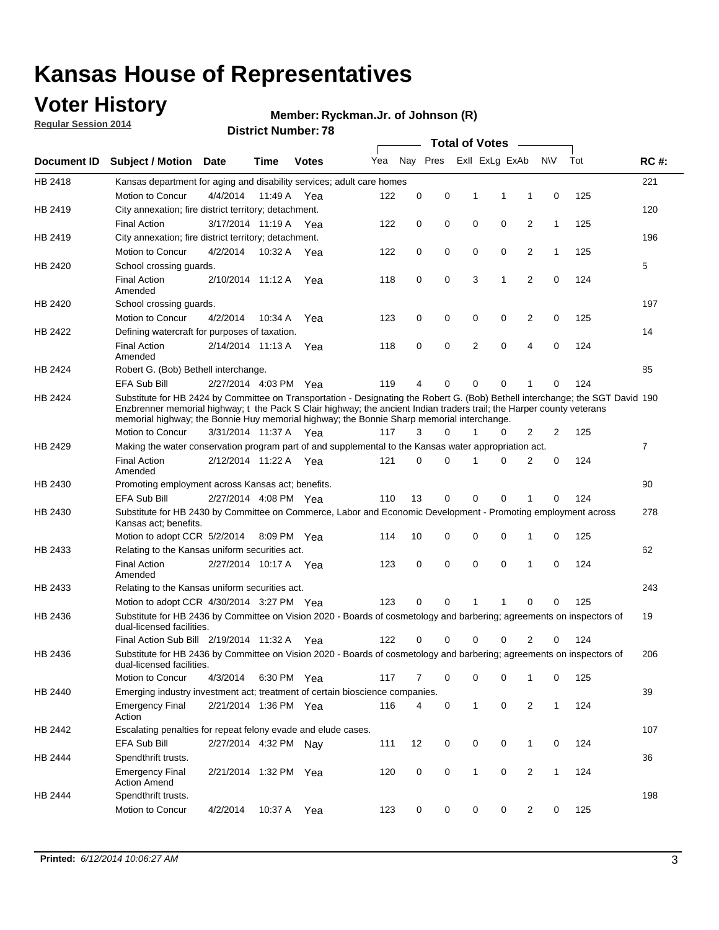### **Voter History**

**Regular Session 2014**

#### **Ryckman.Jr. of Johnson (R)**

|             | DISTRICT MAILINGL. 10<br><b>Total of Votes</b>                                                                                                                                                                                                                                                                                                       |                       |             |              |     |          |          |              |                |                |              |     |                |
|-------------|------------------------------------------------------------------------------------------------------------------------------------------------------------------------------------------------------------------------------------------------------------------------------------------------------------------------------------------------------|-----------------------|-------------|--------------|-----|----------|----------|--------------|----------------|----------------|--------------|-----|----------------|
| Document ID | <b>Subject / Motion</b>                                                                                                                                                                                                                                                                                                                              | Date                  | Time        | <b>Votes</b> | Yea |          | Nay Pres |              | Exll ExLg ExAb |                | N\V          | Tot | <b>RC#:</b>    |
| HB 2418     | Kansas department for aging and disability services; adult care homes                                                                                                                                                                                                                                                                                |                       |             |              |     |          |          |              |                |                |              |     | 221            |
|             | <b>Motion to Concur</b>                                                                                                                                                                                                                                                                                                                              | 4/4/2014              | 11:49 A     | Yea          | 122 | 0        | 0        | 1            | 1              | 1              | 0            | 125 |                |
| HB 2419     | City annexation; fire district territory; detachment.                                                                                                                                                                                                                                                                                                |                       |             |              |     |          |          |              |                |                |              |     | 120            |
|             | <b>Final Action</b>                                                                                                                                                                                                                                                                                                                                  | 3/17/2014 11:19 A     |             | Yea          | 122 | 0        | 0        | 0            | 0              | $\overline{2}$ | $\mathbf{1}$ | 125 |                |
| HB 2419     | City annexation; fire district territory; detachment.                                                                                                                                                                                                                                                                                                |                       |             |              |     |          |          |              |                |                |              |     | 196            |
|             | Motion to Concur                                                                                                                                                                                                                                                                                                                                     | 4/2/2014              | 10:32 A     | Yea          | 122 | 0        | 0        | 0            | 0              | $\overline{2}$ | 1            | 125 |                |
| HB 2420     | School crossing quards.                                                                                                                                                                                                                                                                                                                              |                       |             |              |     |          |          |              |                |                |              |     | 5              |
|             | <b>Final Action</b><br>Amended                                                                                                                                                                                                                                                                                                                       | 2/10/2014 11:12 A     |             | Yea          | 118 | 0        | 0        | 3            | 1              | $\overline{2}$ | 0            | 124 |                |
| HB 2420     | School crossing guards.                                                                                                                                                                                                                                                                                                                              |                       |             |              |     |          |          |              |                |                |              |     | 197            |
|             | Motion to Concur                                                                                                                                                                                                                                                                                                                                     | 4/2/2014              | 10:34 A     | Yea          | 123 | 0        | 0        | 0            | 0              | 2              | 0            | 125 |                |
| HB 2422     | Defining watercraft for purposes of taxation.                                                                                                                                                                                                                                                                                                        |                       |             |              |     |          |          |              |                |                |              |     | 14             |
|             | <b>Final Action</b><br>Amended                                                                                                                                                                                                                                                                                                                       | 2/14/2014 11:13 A     |             | Yea          | 118 | 0        | 0        | 2            | $\mathbf 0$    | $\overline{4}$ | 0            | 124 |                |
| HB 2424     | Robert G. (Bob) Bethell interchange.                                                                                                                                                                                                                                                                                                                 |                       |             |              |     |          |          |              |                |                |              |     | 85             |
|             | <b>EFA Sub Bill</b>                                                                                                                                                                                                                                                                                                                                  | 2/27/2014 4:03 PM Yea |             |              | 119 | 4        | 0        | $\Omega$     | $\Omega$       | 1              | 0            | 124 |                |
| HB 2424     | Substitute for HB 2424 by Committee on Transportation - Designating the Robert G. (Bob) Bethell interchange; the SGT David 190<br>Enzbrenner memorial highway; t the Pack S Clair highway; the ancient Indian traders trail; the Harper county veterans<br>memorial highway; the Bonnie Huy memorial highway; the Bonnie Sharp memorial interchange. |                       |             |              |     |          |          |              |                |                |              |     |                |
|             | Motion to Concur                                                                                                                                                                                                                                                                                                                                     | 3/31/2014 11:37 A Yea |             |              | 117 | 3        | $\Omega$ | 1            | 0              | $\overline{2}$ | 2            | 125 |                |
| HB 2429     | Making the water conservation program part of and supplemental to the Kansas water appropriation act.                                                                                                                                                                                                                                                |                       |             |              |     |          |          |              |                |                |              |     | $\overline{7}$ |
|             | <b>Final Action</b><br>Amended                                                                                                                                                                                                                                                                                                                       | 2/12/2014 11:22 A Yea |             |              | 121 | $\Omega$ | $\Omega$ | 1            | 0              | $\overline{2}$ | $\mathbf 0$  | 124 |                |
| HB 2430     | Promoting employment across Kansas act; benefits.                                                                                                                                                                                                                                                                                                    |                       |             |              |     |          |          |              |                |                |              |     | 90             |
|             | <b>EFA Sub Bill</b>                                                                                                                                                                                                                                                                                                                                  | 2/27/2014 4:08 PM Yea |             |              | 110 | 13       | 0        | $\mathbf 0$  | 0              |                | 0            | 124 |                |
| HB 2430     | Substitute for HB 2430 by Committee on Commerce, Labor and Economic Development - Promoting employment across<br>Kansas act; benefits.                                                                                                                                                                                                               |                       |             |              |     |          |          |              |                |                |              |     | 278            |
|             | Motion to adopt CCR 5/2/2014                                                                                                                                                                                                                                                                                                                         |                       | 8:09 PM Yea |              | 114 | 10       | 0        | 0            | 0              | 1              | 0            | 125 |                |
| HB 2433     | Relating to the Kansas uniform securities act.                                                                                                                                                                                                                                                                                                       |                       |             |              |     |          |          |              |                |                |              |     | 62             |
|             | <b>Final Action</b><br>Amended                                                                                                                                                                                                                                                                                                                       | 2/27/2014 10:17 A Yea |             |              | 123 | 0        | 0        | $\mathbf 0$  | $\mathbf 0$    | 1              | 0            | 124 |                |
| HB 2433     | Relating to the Kansas uniform securities act.                                                                                                                                                                                                                                                                                                       |                       |             |              |     |          |          |              |                |                |              |     | 243            |
|             | Motion to adopt CCR 4/30/2014 3:27 PM Yea                                                                                                                                                                                                                                                                                                            |                       |             |              | 123 | $\Omega$ | $\Omega$ | 1            | 1              | $\Omega$       | 0            | 125 |                |
| HB 2436     | Substitute for HB 2436 by Committee on Vision 2020 - Boards of cosmetology and barbering; agreements on inspectors of<br>dual-licensed facilities.                                                                                                                                                                                                   |                       |             |              |     |          |          |              |                |                |              |     | 19             |
|             | Final Action Sub Bill 2/19/2014 11:32 A                                                                                                                                                                                                                                                                                                              |                       |             | Yea          | 122 | ი        | 0        | O            | 0              | 2              | 0            | 124 |                |
| HB 2436     | Substitute for HB 2436 by Committee on Vision 2020 - Boards of cosmetology and barbering; agreements on inspectors of<br>dual-licensed facilities.                                                                                                                                                                                                   |                       |             |              |     |          |          |              |                |                |              |     | 206            |
|             | Motion to Concur                                                                                                                                                                                                                                                                                                                                     | 4/3/2014              | 6:30 PM Yea |              | 117 | 7        | 0        | 0            | 0              | 1              | 0            | 125 |                |
| HB 2440     | Emerging industry investment act; treatment of certain bioscience companies.                                                                                                                                                                                                                                                                         |                       |             |              |     |          |          |              |                |                |              |     | 39             |
|             | <b>Emergency Final</b><br>Action                                                                                                                                                                                                                                                                                                                     | 2/21/2014 1:36 PM Yea |             |              | 116 | 4        | 0        | $\mathbf{1}$ | 0              | 2              | $\mathbf{1}$ | 124 |                |
| HB 2442     | Escalating penalties for repeat felony evade and elude cases.                                                                                                                                                                                                                                                                                        |                       |             |              |     |          |          |              |                |                |              |     | 107            |
|             | EFA Sub Bill                                                                                                                                                                                                                                                                                                                                         | 2/27/2014 4:32 PM Nav |             |              | 111 | 12       | 0        | 0            | 0              | $\mathbf{1}$   | 0            | 124 |                |
| HB 2444     | Spendthrift trusts.                                                                                                                                                                                                                                                                                                                                  |                       |             |              |     |          |          |              |                |                |              |     | 36             |
|             | <b>Emergency Final</b><br><b>Action Amend</b>                                                                                                                                                                                                                                                                                                        | 2/21/2014 1:32 PM Yea |             |              | 120 | 0        | 0        | $\mathbf{1}$ | 0              | $\overline{2}$ | $\mathbf{1}$ | 124 |                |
| HB 2444     | Spendthrift trusts.                                                                                                                                                                                                                                                                                                                                  |                       |             |              |     |          |          |              |                |                |              |     | 198            |
|             | Motion to Concur                                                                                                                                                                                                                                                                                                                                     | 4/2/2014              | 10:37 A     | Yea          | 123 | 0        | 0        | 0            | 0              | $\overline{2}$ | 0            | 125 |                |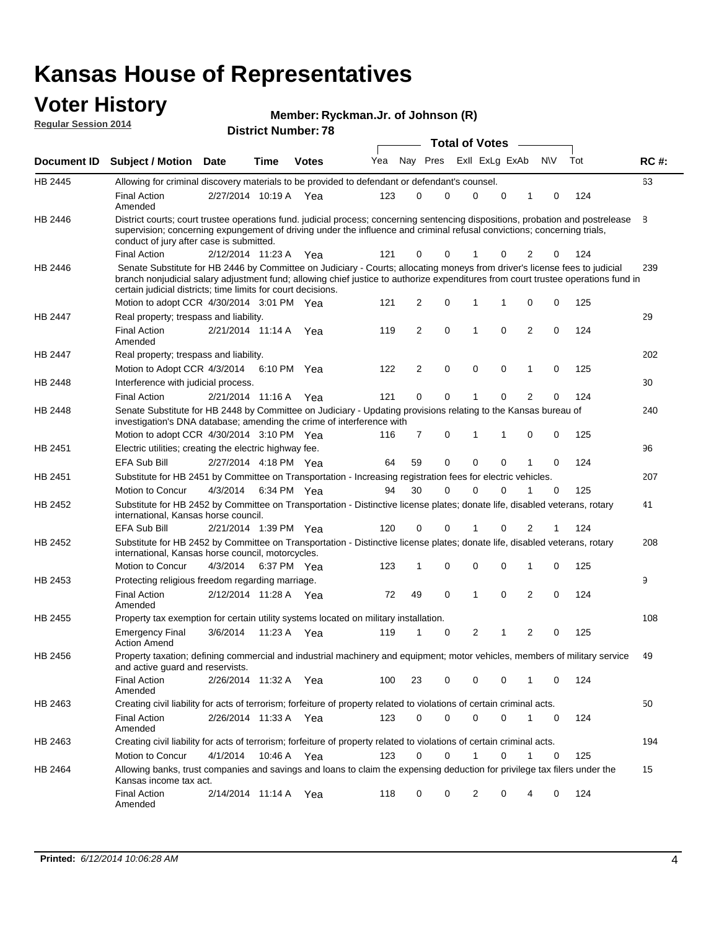#### **Voter History**

**Regular Session 2014**

|  |  | Member: Ryckman.Jr. of Johnson (R) |  |
|--|--|------------------------------------|--|
|--|--|------------------------------------|--|

**Document ID Subject / Motion Date Time Votes** Yea Nay Pres ExII ExLg ExAb N\V Tot RC #: **District Number: 78 Date Votes Total of Votes Time** ExII ExLg ExAb 63 2/27/2014 Final Action Yea 124 10:19 A 123 0 0 0 10 0 HB 2445 Amended Allowing for criminal discovery materials to be provided to defendant or defendant's counsel. 8 2/12/2014 Final Action Yea 124 11:23 A 121 0 0 0 20 1 HB 2446 District courts; court trustee operations fund. judicial process; concerning sentencing dispositions, probation and postrelease supervision; concerning expungement of driving under the influence and criminal refusal convictions; concerning trials, conduct of jury after case is submitted. 239 Motion to adopt CCR 4/30/2014 3:01 PM Yea  $121 \quad 2 \quad 0 \quad 1 \quad 1 \quad 0 \quad 0 \quad 125$ HB 2446 Senate Substitute for HB 2446 by Committee on Judiciary - Courts; allocating moneys from driver's license fees to judicial branch nonjudicial salary adjustment fund; allowing chief justice to authorize expenditures from court trustee operations fund in certain judicial districts; time limits for court decisions. 29 2/21/2014 Final Action Yea 124 11:14 A 119 2 0 0 20 1 HB 2447 Amended Real property; trespass and liability. 202 Motion to Adopt CCR 4/3/2014 6:10 PM Yea  $122$  2 0 0 0 1 0 125 HB 2447 Real property; trespass and liability. 30 2/21/2014 Final Action Yea 124 HB 2448 Interference with judicial process. 11:16 A 121 0 0 0 20 1 240 Motion to adopt CCR 4/30/2014 3:10 PM Yea  $116$  7 0 1 1 0 0 125 HB 2448 Senate Substitute for HB 2448 by Committee on Judiciary - Updating provisions relating to the Kansas bureau of investigation's DNA database; amending the crime of interference with 96 2/27/2014 EFA Sub Bill Yea 124 4:18 PM 64 59 0 0 10 0 HB 2451 Electric utilities; creating the electric highway fee. 207 4/3/2014 HB 2451 Motion to Concur Yea 125 6:34 PM 94 30 0 0 10 0 Substitute for HB 2451 by Committee on Transportation - Increasing registration fees for electric vehicles. 41 2/21/2014 EFA Sub Bill Yea 124 1:39 PM 120 0 0 0 21 1 HB 2452 Substitute for HB 2452 by Committee on Transportation - Distinctive license plates; donate life, disabled veterans, rotary international, Kansas horse council. 208 4/3/2014 HB 2452 Motion to Concur Yea 125 6:37 PM 123 1 0 0 10 0 Substitute for HB 2452 by Committee on Transportation - Distinctive license plates; donate life, disabled veterans, rotary international, Kansas horse council, motorcycles. 9 2/12/2014 Final Action Yea 124 11:28 A 72 49 0 0 20 1 HB 2453 Amended Protecting religious freedom regarding marriage. 108 3/6/2014 HB 2455 Emergency Final Yea 125 11:23 A 119 1 1 0 20 2 Action Amend Property tax exemption for certain utility systems located on military installation. 49 2/26/2014 Final Action Yea 124 11:32 A 100 23 0 0 10 0 HB 2456 Amended Property taxation; defining commercial and industrial machinery and equipment; motor vehicles, members of military service and active guard and reservists. 50 2/26/2014 Final Action Yea 124 11:33 A 123 0 0 0 10 0 HB 2463 Amended Creating civil liability for acts of terrorism; forfeiture of property related to violations of certain criminal acts. 194 4/1/2014 HB 2463 Motion to Concur 4/1/2014 10:46 A Yea 123 0 0 1 0 1 0 125 Creating civil liability for acts of terrorism; forfeiture of property related to violations of certain criminal acts. 10:46 A 15 2/14/2014 Final Action Yea 124 11:14 A 118 0 0 0 40 2 HB 2464 Amended Allowing banks, trust companies and savings and loans to claim the expensing deduction for privilege tax filers under the Kansas income tax act.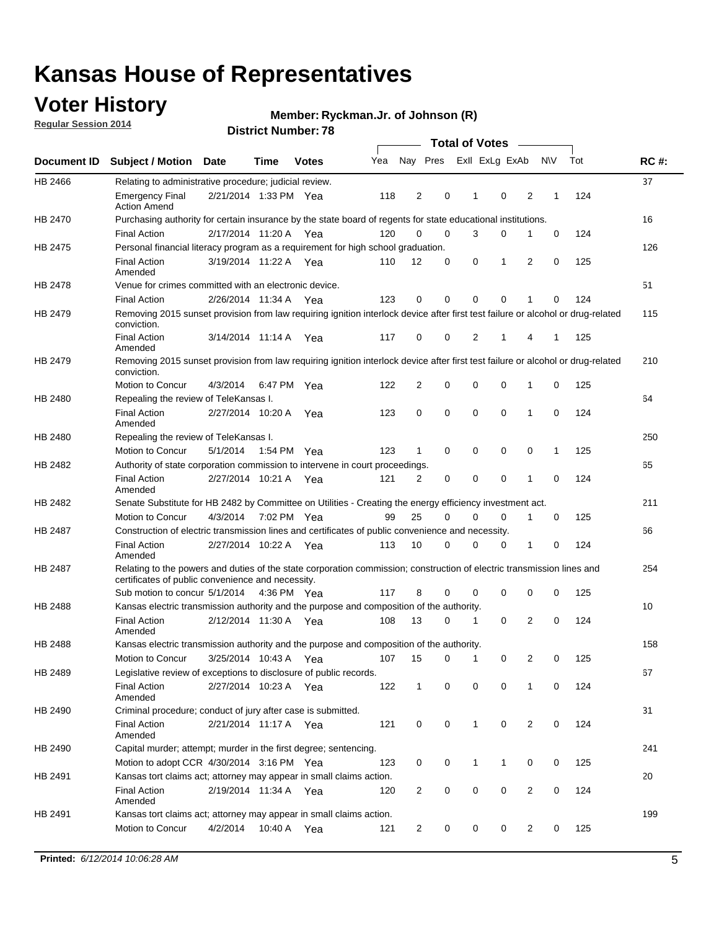### **Voter History**

**Regular Session 2014**

#### **Ryckman.Jr. of Johnson (R)**

|                |                                                                                                                                                                             |                       |             |              |     |                |             |              | <b>Total of Votes</b> |                |           |                                                                                                                                                                                                                              |             |
|----------------|-----------------------------------------------------------------------------------------------------------------------------------------------------------------------------|-----------------------|-------------|--------------|-----|----------------|-------------|--------------|-----------------------|----------------|-----------|------------------------------------------------------------------------------------------------------------------------------------------------------------------------------------------------------------------------------|-------------|
|                | Document ID Subject / Motion Date                                                                                                                                           |                       | Time        | <b>Votes</b> | Yea |                | Nay Pres    |              | Exll ExLg ExAb        |                | <b>NV</b> | Tot                                                                                                                                                                                                                          | <b>RC#:</b> |
| HB 2466        | Relating to administrative procedure; judicial review.                                                                                                                      |                       |             |              |     |                |             |              |                       |                |           |                                                                                                                                                                                                                              | 37          |
|                | <b>Emergency Final</b><br><b>Action Amend</b>                                                                                                                               | 2/21/2014 1:33 PM Yea |             |              | 118 | 2              | 0           | 1            | $\mathbf 0$           | $\overline{2}$ | 1         | 124                                                                                                                                                                                                                          |             |
| HB 2470        | Purchasing authority for certain insurance by the state board of regents for state educational institutions.                                                                |                       |             |              |     |                |             |              |                       |                |           | 0<br>124<br>125<br>0<br>124<br>0<br>125<br>1<br>0<br>125<br>0<br>124<br>125<br>1<br>124<br>$\mathbf 0$<br>125<br>0<br>124<br>0<br>0<br>125<br>0<br>124<br>125<br>0<br>124<br>0<br>$\mathbf 0$<br>124<br>0<br>125<br>0<br>124 | 16          |
|                | <b>Final Action</b>                                                                                                                                                         | 2/17/2014 11:20 A Yea |             |              | 120 | $\Omega$       | $\mathbf 0$ | 3            | 0                     | 1              |           |                                                                                                                                                                                                                              |             |
| HB 2475        | Personal financial literacy program as a requirement for high school graduation.                                                                                            |                       |             |              |     |                |             |              |                       |                |           |                                                                                                                                                                                                                              | 126         |
|                | <b>Final Action</b><br>Amended                                                                                                                                              | 3/19/2014 11:22 A Yea |             |              | 110 | 12             | $\mathbf 0$ | 0            | 1                     | 2              |           |                                                                                                                                                                                                                              |             |
| HB 2478        | Venue for crimes committed with an electronic device.                                                                                                                       |                       |             |              |     |                |             |              |                       |                |           |                                                                                                                                                                                                                              | 51          |
|                | <b>Final Action</b>                                                                                                                                                         | 2/26/2014 11:34 A     |             | Yea          | 123 | $\mathbf 0$    | 0           | $\Omega$     | $\mathbf 0$           | 1              |           |                                                                                                                                                                                                                              |             |
| HB 2479        | Removing 2015 sunset provision from law requiring ignition interlock device after first test failure or alcohol or drug-related<br>conviction.                              |                       |             |              |     |                |             |              |                       |                |           |                                                                                                                                                                                                                              | 115         |
|                | <b>Final Action</b><br>Amended                                                                                                                                              | 3/14/2014 11:14 A     |             | Yea          | 117 | 0              | 0           | 2            | 1                     | 4              |           |                                                                                                                                                                                                                              |             |
| HB 2479        | Removing 2015 sunset provision from law requiring ignition interlock device after first test failure or alcohol or drug-related<br>conviction.                              |                       |             |              |     |                |             |              |                       |                |           |                                                                                                                                                                                                                              | 210         |
|                | Motion to Concur                                                                                                                                                            | 4/3/2014              |             | 6:47 PM Yea  | 122 | $\overline{2}$ | 0           | $\mathbf 0$  | $\mathbf 0$           | 1              |           |                                                                                                                                                                                                                              |             |
| HB 2480        | Repealing the review of TeleKansas I.                                                                                                                                       |                       |             |              |     |                |             |              |                       |                |           |                                                                                                                                                                                                                              | 64          |
|                | <b>Final Action</b><br>Amended                                                                                                                                              | 2/27/2014 10:20 A     |             | Yea          | 123 | 0              | 0           | 0            | $\mathbf 0$           | 1              |           |                                                                                                                                                                                                                              |             |
| HB 2480        | Repealing the review of TeleKansas I.                                                                                                                                       |                       |             |              |     |                |             |              |                       |                |           |                                                                                                                                                                                                                              | 250         |
|                | Motion to Concur                                                                                                                                                            | 5/1/2014              | 1:54 PM Yea |              | 123 | $\mathbf{1}$   | $\mathbf 0$ | $\mathbf 0$  | $\mathbf 0$           | 0              |           |                                                                                                                                                                                                                              |             |
| HB 2482        | Authority of state corporation commission to intervene in court proceedings.                                                                                                |                       |             |              |     |                |             |              |                       |                |           |                                                                                                                                                                                                                              | 65          |
|                | <b>Final Action</b><br>Amended                                                                                                                                              | 2/27/2014 10:21 A     |             | Yea          | 121 | 2              | 0           | $\mathbf 0$  | $\mathbf 0$           | 1              |           |                                                                                                                                                                                                                              |             |
| HB 2482        | Senate Substitute for HB 2482 by Committee on Utilities - Creating the energy efficiency investment act.                                                                    |                       |             |              |     |                |             |              |                       |                |           |                                                                                                                                                                                                                              | 211         |
|                | Motion to Concur                                                                                                                                                            | 4/3/2014 7:02 PM Yea  |             |              | 99  | 25             | $\Omega$    | 0            | 0                     | 1              |           |                                                                                                                                                                                                                              |             |
| HB 2487        | Construction of electric transmission lines and certificates of public convenience and necessity.                                                                           |                       |             |              |     |                |             |              |                       |                |           |                                                                                                                                                                                                                              | 66          |
|                | <b>Final Action</b><br>Amended                                                                                                                                              | 2/27/2014 10:22 A Yea |             |              | 113 | 10             | 0           | $\mathbf 0$  | 0                     | 1              |           |                                                                                                                                                                                                                              |             |
| HB 2487        | Relating to the powers and duties of the state corporation commission; construction of electric transmission lines and<br>certificates of public convenience and necessity. |                       |             |              |     |                |             |              |                       |                |           |                                                                                                                                                                                                                              | 254         |
|                | Sub motion to concur 5/1/2014 4:36 PM Yea                                                                                                                                   |                       |             |              | 117 | 8              | 0           | $\Omega$     | $\mathbf 0$           | 0              |           |                                                                                                                                                                                                                              |             |
| <b>HB 2488</b> | Kansas electric transmission authority and the purpose and composition of the authority.                                                                                    |                       |             |              |     |                |             |              |                       |                |           |                                                                                                                                                                                                                              | 10          |
|                | <b>Final Action</b><br>Amended                                                                                                                                              | 2/12/2014 11:30 A Yea |             |              | 108 | 13             | 0           | 1            | 0                     | $\overline{2}$ |           |                                                                                                                                                                                                                              |             |
| HB 2488        | Kansas electric transmission authority and the purpose and composition of the authority.                                                                                    |                       |             |              |     |                |             |              |                       |                |           |                                                                                                                                                                                                                              | 158         |
|                | <b>Motion to Concur</b>                                                                                                                                                     | 3/25/2014 10:43 A     |             | Yea          | 107 | 15             | 0           | 1            | 0                     | 2              |           |                                                                                                                                                                                                                              |             |
| HB 2489        | Legislative review of exceptions to disclosure of public records.                                                                                                           |                       |             |              |     |                |             |              |                       |                |           |                                                                                                                                                                                                                              | 67          |
|                | <b>Final Action</b><br>Amended                                                                                                                                              | 2/27/2014 10:23 A Yea |             |              | 122 | $\mathbf{1}$   | 0           | 0            | $\mathbf 0$           | $\mathbf{1}$   |           |                                                                                                                                                                                                                              |             |
| HB 2490        | Criminal procedure; conduct of jury after case is submitted.                                                                                                                |                       |             |              |     |                |             |              |                       |                |           |                                                                                                                                                                                                                              | 31          |
|                | <b>Final Action</b><br>Amended                                                                                                                                              | 2/21/2014 11:17 A Yea |             |              | 121 | 0              | 0           | $\mathbf{1}$ | $\mathbf 0$           | 2              |           |                                                                                                                                                                                                                              |             |
| HB 2490        | Capital murder; attempt; murder in the first degree; sentencing.                                                                                                            |                       |             |              |     |                |             |              |                       |                |           |                                                                                                                                                                                                                              | 241         |
|                | Motion to adopt CCR 4/30/2014 3:16 PM Yea                                                                                                                                   |                       |             |              | 123 | 0              | 0           | 1            | 1                     | 0              |           |                                                                                                                                                                                                                              |             |
| HB 2491        | Kansas tort claims act; attorney may appear in small claims action.                                                                                                         |                       |             |              |     |                |             |              |                       |                |           |                                                                                                                                                                                                                              | 20          |
|                | <b>Final Action</b><br>Amended                                                                                                                                              | 2/19/2014 11:34 A Yea |             |              | 120 | 2              | 0           | 0            | $\pmb{0}$             | 2              |           |                                                                                                                                                                                                                              |             |
| HB 2491        | Kansas tort claims act; attorney may appear in small claims action.                                                                                                         |                       |             |              |     |                |             |              |                       |                |           |                                                                                                                                                                                                                              | 199         |
|                | Motion to Concur                                                                                                                                                            | 4/2/2014              |             | 10:40 A Yea  | 121 | 2              | 0           | 0            | 0                     | 2              | 0         | 125                                                                                                                                                                                                                          |             |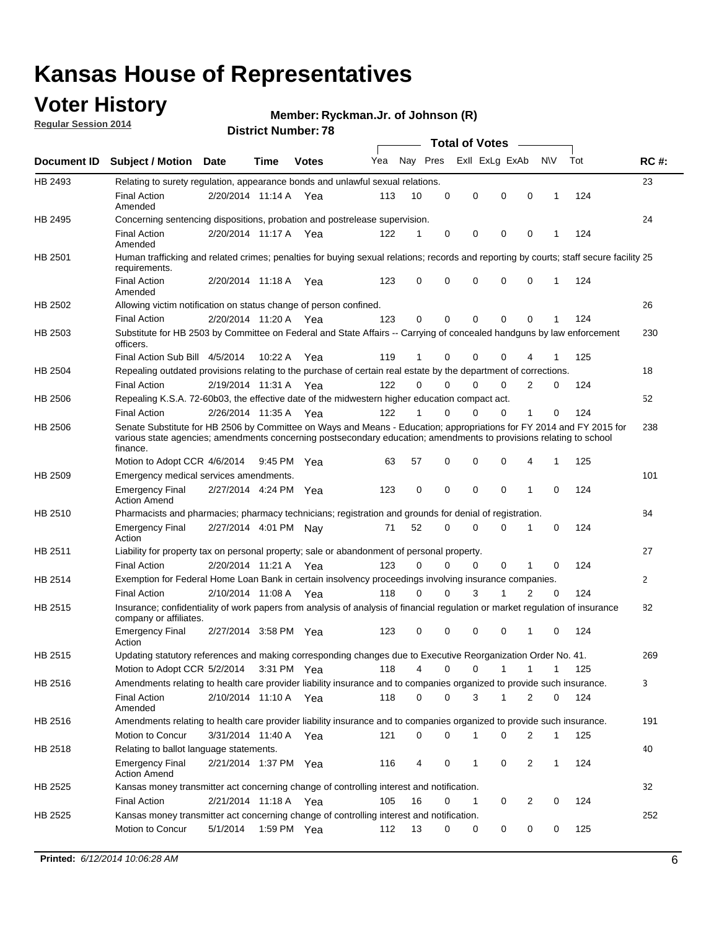### **Voter History**

**Regular Session 2014**

#### **Ryckman.Jr. of Johnson (R)**

|             |                                                                                                                                                                                                                                                        |                       |             | <b>DISTICL NUITIDEL. 70</b> |     |          |          | Total of Votes – |              |                            |              |     |              |
|-------------|--------------------------------------------------------------------------------------------------------------------------------------------------------------------------------------------------------------------------------------------------------|-----------------------|-------------|-----------------------------|-----|----------|----------|------------------|--------------|----------------------------|--------------|-----|--------------|
| Document ID | <b>Subject / Motion Date</b>                                                                                                                                                                                                                           |                       | <b>Time</b> | <b>Votes</b>                | Yea | Nay Pres |          | Exll ExLg ExAb   |              | N\V                        |              | Tot | <b>RC#:</b>  |
| HB 2493     | Relating to surety regulation, appearance bonds and unlawful sexual relations.                                                                                                                                                                         |                       |             |                             |     |          |          |                  |              |                            |              |     | 23           |
|             | <b>Final Action</b><br>Amended                                                                                                                                                                                                                         | 2/20/2014 11:14 A Yea |             |                             | 113 | 10       | 0        | 0                | $\mathbf 0$  | $\mathbf 0$<br>$\mathbf 1$ |              | 124 |              |
| HB 2495     | Concerning sentencing dispositions, probation and postrelease supervision.                                                                                                                                                                             |                       |             |                             |     |          |          |                  |              |                            |              |     | 24           |
|             | <b>Final Action</b><br>Amended                                                                                                                                                                                                                         | 2/20/2014 11:17 A     |             | Yea                         | 122 | 1        | 0        | 0                | 0            | $\mathbf 0$<br>1           |              | 124 |              |
| HB 2501     | Human trafficking and related crimes; penalties for buying sexual relations; records and reporting by courts; staff secure facility 25<br>requirements.                                                                                                |                       |             |                             |     |          |          |                  |              |                            |              |     |              |
|             | <b>Final Action</b><br>Amended                                                                                                                                                                                                                         | 2/20/2014 11:18 A Yea |             |                             | 123 | 0        | 0        | 0                | 0            | $\mathbf 0$                | 1            | 124 |              |
| HB 2502     | Allowing victim notification on status change of person confined.                                                                                                                                                                                      |                       |             |                             |     |          |          |                  |              |                            |              |     | 26           |
|             | <b>Final Action</b>                                                                                                                                                                                                                                    | 2/20/2014 11:20 A Yea |             |                             | 123 | 0        | 0        | 0                | 0            | $\mathbf 0$                |              | 124 |              |
| HB 2503     | Substitute for HB 2503 by Committee on Federal and State Affairs -- Carrying of concealed handguns by law enforcement<br>officers.                                                                                                                     |                       |             |                             |     |          |          |                  |              |                            |              |     | 230          |
|             | Final Action Sub Bill 4/5/2014                                                                                                                                                                                                                         |                       | 10:22A      | Yea                         | 119 | 1        | 0        | 0                | 0            |                            |              | 125 |              |
| HB 2504     | Repealing outdated provisions relating to the purchase of certain real estate by the department of corrections.                                                                                                                                        |                       |             |                             |     |          |          |                  |              |                            |              |     | 18           |
|             | <b>Final Action</b>                                                                                                                                                                                                                                    | 2/19/2014 11:31 A     |             | Yea                         | 122 | $\Omega$ | 0        | 0                | 0            | 2                          | 0            | 124 |              |
| HB 2506     | Repealing K.S.A. 72-60b03, the effective date of the midwestern higher education compact act.                                                                                                                                                          |                       |             |                             |     |          |          |                  |              |                            |              |     | 52           |
|             | <b>Final Action</b>                                                                                                                                                                                                                                    | 2/26/2014 11:35 A Yea |             |                             | 122 | 1        | 0        | 0                | 0            | 1                          | 0            | 124 |              |
| HB 2506     | Senate Substitute for HB 2506 by Committee on Ways and Means - Education; appropriations for FY 2014 and FY 2015 for<br>various state agencies; amendments concerning postsecondary education; amendments to provisions relating to school<br>finance. |                       |             |                             |     |          |          |                  |              |                            |              |     | 238          |
|             | Motion to Adopt CCR 4/6/2014                                                                                                                                                                                                                           |                       | 9:45 PM Yea |                             | 63  | 57       | 0        | 0                | 0            | 4<br>$\mathbf 1$           |              | 125 |              |
| HB 2509     | Emergency medical services amendments.                                                                                                                                                                                                                 |                       |             |                             |     |          |          |                  |              |                            |              |     | 101          |
|             | <b>Emergency Final</b><br><b>Action Amend</b>                                                                                                                                                                                                          | 2/27/2014 4:24 PM Yea |             |                             | 123 | 0        | $\Omega$ | $\mathbf 0$      | $\mathbf{0}$ | $\mathbf 1$                | $\Omega$     | 124 |              |
| HB 2510     | Pharmacists and pharmacies; pharmacy technicians; registration and grounds for denial of registration.                                                                                                                                                 |                       |             |                             |     |          |          |                  |              |                            |              |     | 84           |
|             | <b>Emergency Final</b><br>Action                                                                                                                                                                                                                       | 2/27/2014 4:01 PM Nay |             |                             | 71  | 52       | 0        | 0                | 0            | 1                          | 0            | 124 |              |
| HB 2511     | Liability for property tax on personal property; sale or abandonment of personal property.                                                                                                                                                             |                       |             |                             |     |          |          |                  |              |                            |              |     | 27           |
|             | <b>Final Action</b>                                                                                                                                                                                                                                    | 2/20/2014 11:21 A     |             | Yea                         | 123 | 0        | 0        | 0                | 0            | 1                          | 0            | 124 |              |
| HB 2514     | Exemption for Federal Home Loan Bank in certain insolvency proceedings involving insurance companies.                                                                                                                                                  |                       |             |                             |     |          |          |                  |              |                            |              |     | $\mathbf{2}$ |
|             | <b>Final Action</b>                                                                                                                                                                                                                                    | 2/10/2014 11:08 A     |             | Yea                         | 118 | 0        | $\Omega$ | 3                | 1            | $\overline{2}$             | $\mathbf 0$  | 124 |              |
| HB 2515     | Insurance; confidentiality of work papers from analysis of analysis of financial regulation or market regulation of insurance<br>company or affiliates.                                                                                                |                       |             |                             |     |          |          |                  |              |                            |              |     | 82           |
|             | <b>Emergency Final</b><br>Action                                                                                                                                                                                                                       | 2/27/2014 3:58 PM Yea |             |                             | 123 | 0        | 0        | 0                | 0            | -1                         | $\Omega$     | 124 |              |
| HB 2515     | Updating statutory references and making corresponding changes due to Executive Reorganization Order No. 41.                                                                                                                                           |                       |             |                             |     |          |          |                  |              |                            |              |     | 269          |
|             | Motion to Adopt CCR 5/2/2014 3:31 PM Yea                                                                                                                                                                                                               |                       |             |                             | 118 | 4        | 0        | 0                | 1            | 1                          | 1            | 125 |              |
| HB 2516     | Amendments relating to health care provider liability insurance and to companies organized to provide such insurance.                                                                                                                                  |                       |             |                             |     |          |          |                  |              |                            |              |     | 3            |
|             | <b>Final Action</b><br>Amended                                                                                                                                                                                                                         | 2/10/2014 11:10 A Yea |             |                             | 118 | 0        | 0        | 3                | 1            | 2                          | 0            | 124 |              |
| HB 2516     | Amendments relating to health care provider liability insurance and to companies organized to provide such insurance.                                                                                                                                  |                       |             |                             |     |          |          |                  |              |                            |              |     | 191          |
|             | <b>Motion to Concur</b>                                                                                                                                                                                                                                | 3/31/2014 11:40 A Yea |             |                             | 121 | 0        | 0        | 1                | 0            | 2                          | $\mathbf{1}$ | 125 |              |
| HB 2518     | Relating to ballot language statements.                                                                                                                                                                                                                |                       |             |                             |     |          |          |                  |              |                            |              |     | 40           |
|             | <b>Emergency Final</b><br><b>Action Amend</b>                                                                                                                                                                                                          | 2/21/2014 1:37 PM Yea |             |                             | 116 | 4        | 0        | 1                | 0            | 2                          | $\mathbf{1}$ | 124 |              |
| HB 2525     | Kansas money transmitter act concerning change of controlling interest and notification.                                                                                                                                                               |                       |             |                             |     |          |          |                  |              |                            |              |     | 32           |
|             | <b>Final Action</b>                                                                                                                                                                                                                                    | 2/21/2014 11:18 A Yea |             |                             | 105 | 16       | 0        | 1                | 0            | 2                          | 0            | 124 |              |
| HB 2525     | Kansas money transmitter act concerning change of controlling interest and notification.                                                                                                                                                               |                       |             |                             |     |          |          |                  |              |                            |              |     | 252          |
|             | Motion to Concur                                                                                                                                                                                                                                       | 5/1/2014              |             | 1:59 PM Yea                 | 112 | 13       | 0        | 0                | 0            | 0                          | 0            | 125 |              |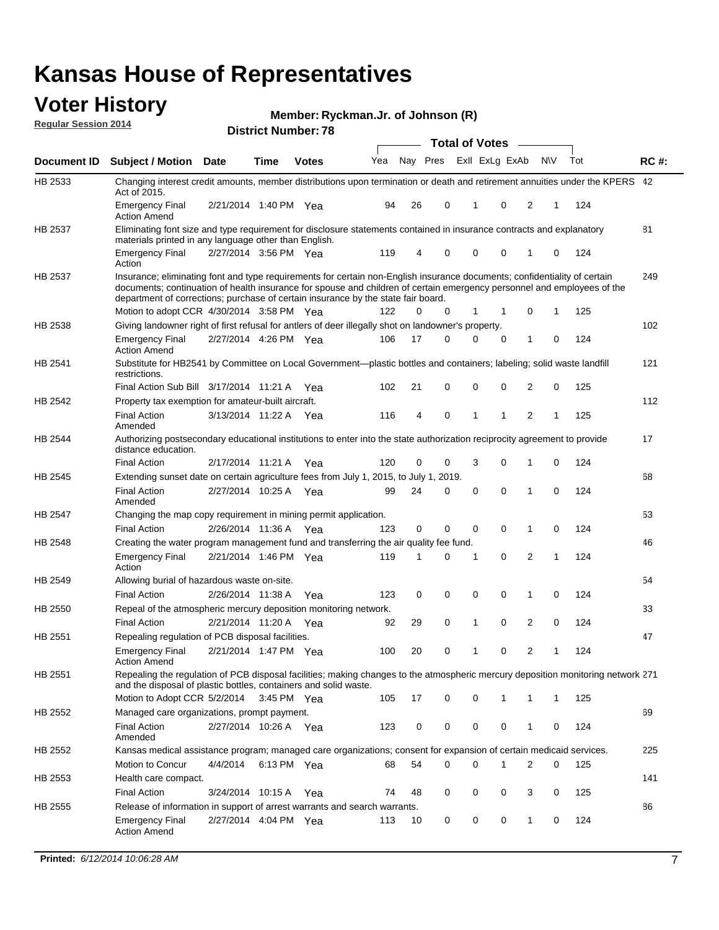#### **Voter History Regular Session 2014**

**Ryckman.Jr. of Johnson (R)**

|                    |                                                                                                                                                                                                                                                                                                                                           |                       |             |              |     |          |   | <b>Total of Votes</b> |             |                |             |     |             |
|--------------------|-------------------------------------------------------------------------------------------------------------------------------------------------------------------------------------------------------------------------------------------------------------------------------------------------------------------------------------------|-----------------------|-------------|--------------|-----|----------|---|-----------------------|-------------|----------------|-------------|-----|-------------|
| <b>Document ID</b> | <b>Subject / Motion Date</b>                                                                                                                                                                                                                                                                                                              |                       | Time        | <b>Votes</b> | Yea | Nav Pres |   | Exll ExLg ExAb        |             |                | <b>NV</b>   | Tot | <b>RC#:</b> |
| HB 2533            | Changing interest credit amounts, member distributions upon termination or death and retirement annuities under the KPERS 42<br>Act of 2015.                                                                                                                                                                                              |                       |             |              |     |          |   |                       |             |                |             |     |             |
|                    | <b>Emergency Final</b><br>Action Amend                                                                                                                                                                                                                                                                                                    | 2/21/2014 1:40 PM Yea |             |              | 94  | 26       | 0 | 1                     | 0           | 2              | 1           | 124 |             |
| HB 2537            | Eliminating font size and type requirement for disclosure statements contained in insurance contracts and explanatory<br>materials printed in any language other than English.                                                                                                                                                            |                       |             |              |     |          |   |                       |             |                |             |     | 81          |
|                    | <b>Emergency Final</b><br>Action                                                                                                                                                                                                                                                                                                          | 2/27/2014 3:56 PM Yea |             |              | 119 | 4        | 0 | $\Omega$              | 0           | 1              | 0           | 124 |             |
| HB 2537            | Insurance; eliminating font and type requirements for certain non-English insurance documents; confidentiality of certain<br>documents; continuation of health insurance for spouse and children of certain emergency personnel and employees of the<br>department of corrections; purchase of certain insurance by the state fair board. |                       |             |              |     |          |   |                       |             |                |             |     | 249         |
|                    | Motion to adopt CCR 4/30/2014 3:58 PM Yea                                                                                                                                                                                                                                                                                                 |                       |             |              | 122 | 0        | 0 | 1                     | 1           | 0              | 1           | 125 |             |
| HB 2538            | Giving landowner right of first refusal for antlers of deer illegally shot on landowner's property.                                                                                                                                                                                                                                       |                       |             |              |     |          |   |                       |             |                |             |     | 102         |
|                    | <b>Emergency Final</b><br><b>Action Amend</b>                                                                                                                                                                                                                                                                                             | 2/27/2014 4:26 PM Yea |             |              | 106 | 17       | 0 | 0                     | 0           | 1              | 0           | 124 |             |
| HB 2541            | Substitute for HB2541 by Committee on Local Government—plastic bottles and containers; labeling; solid waste landfill<br>restrictions.                                                                                                                                                                                                    |                       |             |              |     |          |   |                       |             |                |             |     | 121         |
|                    | Final Action Sub Bill 3/17/2014 11:21 A Yea                                                                                                                                                                                                                                                                                               |                       |             |              | 102 | 21       | 0 | $\mathbf 0$           | $\Omega$    | $\overline{2}$ | $\mathbf 0$ | 125 |             |
| <b>HB 2542</b>     | Property tax exemption for amateur-built aircraft.                                                                                                                                                                                                                                                                                        |                       |             |              |     |          |   |                       |             |                |             |     | 112         |
|                    | <b>Final Action</b><br>Amended                                                                                                                                                                                                                                                                                                            | 3/13/2014 11:22 A Yea |             |              | 116 | 4        | 0 | 1                     | 1           | 2              | 1           | 125 |             |
| HB 2544            | Authorizing postsecondary educational institutions to enter into the state authorization reciprocity agreement to provide<br>distance education.                                                                                                                                                                                          |                       |             |              |     |          |   |                       |             |                |             |     | 17          |
|                    | <b>Final Action</b>                                                                                                                                                                                                                                                                                                                       | 2/17/2014 11:21 A     |             | Yea          | 120 | 0        | 0 | 3                     | 0           | 1              | 0           | 124 |             |
| HB 2545            | Extending sunset date on certain agriculture fees from July 1, 2015, to July 1, 2019.                                                                                                                                                                                                                                                     |                       |             |              |     |          |   |                       |             |                |             |     | 68          |
|                    | <b>Final Action</b><br>Amended                                                                                                                                                                                                                                                                                                            | 2/27/2014 10:25 A     |             | Yea          | 99  | 24       | 0 | 0                     | 0           | 1              | 0           | 124 |             |
| HB 2547            | Changing the map copy requirement in mining permit application.                                                                                                                                                                                                                                                                           |                       |             |              |     |          |   |                       |             |                |             |     | 53          |
|                    | <b>Final Action</b>                                                                                                                                                                                                                                                                                                                       | 2/26/2014 11:36 A Yea |             |              | 123 | 0        | 0 | $\mathbf 0$           | 0           | $\mathbf{1}$   | $\Omega$    | 124 |             |
| HB 2548            | Creating the water program management fund and transferring the air quality fee fund.                                                                                                                                                                                                                                                     |                       |             |              |     |          |   |                       |             |                |             |     | 46          |
|                    | <b>Emergency Final</b><br>Action                                                                                                                                                                                                                                                                                                          | 2/21/2014 1:46 PM Yea |             |              | 119 | 1        | 0 | 1                     | 0           | 2              | 1           | 124 |             |
| HB 2549            | Allowing burial of hazardous waste on-site.                                                                                                                                                                                                                                                                                               |                       |             |              |     |          |   |                       |             |                |             |     | 54          |
|                    | <b>Final Action</b>                                                                                                                                                                                                                                                                                                                       | 2/26/2014 11:38 A     |             | Yea          | 123 | 0        | 0 | 0                     | 0           | 1              | 0           | 124 |             |
| HB 2550            | Repeal of the atmospheric mercury deposition monitoring network.                                                                                                                                                                                                                                                                          |                       |             |              |     |          |   |                       |             |                |             |     | 33          |
|                    | <b>Final Action</b>                                                                                                                                                                                                                                                                                                                       | 2/21/2014 11:20 A Yea |             |              | 92  | 29       | 0 | 1                     | 0           | 2              | 0           | 124 |             |
| HB 2551            | Repealing regulation of PCB disposal facilities.                                                                                                                                                                                                                                                                                          |                       |             |              |     |          |   |                       |             |                |             |     | 47          |
|                    | <b>Emergency Final</b><br><b>Action Amend</b>                                                                                                                                                                                                                                                                                             | 2/21/2014 1:47 PM Yea |             |              | 100 | 20       | 0 | 1                     | 0           | 2              | 1           | 124 |             |
| HB 2551            | Repealing the regulation of PCB disposal facilities; making changes to the atmospheric mercury deposition monitoring network 271<br>and the disposal of plastic bottles, containers and solid waste.                                                                                                                                      |                       |             |              |     |          |   |                       |             |                |             |     |             |
|                    | Motion to Adopt CCR 5/2/2014                                                                                                                                                                                                                                                                                                              |                       | 3:45 PM Yea |              | 105 | 17       | 0 | 0                     | $\mathbf 1$ | 1              | $\mathbf 1$ | 125 |             |
| HB 2552            | Managed care organizations, prompt payment.                                                                                                                                                                                                                                                                                               |                       |             |              |     |          |   |                       |             |                |             |     | 69          |
|                    | <b>Final Action</b><br>Amended                                                                                                                                                                                                                                                                                                            | 2/27/2014 10:26 A Yea |             |              | 123 | 0        | 0 | 0                     | 0           | 1              | 0           | 124 |             |
| HB 2552            | Kansas medical assistance program; managed care organizations; consent for expansion of certain medicaid services.                                                                                                                                                                                                                        |                       |             |              |     |          |   |                       |             |                |             |     | 225         |
|                    | Motion to Concur                                                                                                                                                                                                                                                                                                                          | 4/4/2014              | 6:13 PM Yea |              | 68  | 54       | 0 | 0                     | 1           | 2              | 0           | 125 |             |
| HB 2553            | Health care compact.                                                                                                                                                                                                                                                                                                                      |                       |             |              |     |          |   |                       |             |                |             |     | 141         |
|                    | <b>Final Action</b>                                                                                                                                                                                                                                                                                                                       | 3/24/2014 10:15 A Yea |             |              | 74  | 48       | 0 | 0                     | 0           | 3              | 0           | 125 |             |
| HB 2555            | Release of information in support of arrest warrants and search warrants.                                                                                                                                                                                                                                                                 |                       |             |              |     |          |   |                       |             |                |             |     | 86          |
|                    | <b>Emergency Final</b><br><b>Action Amend</b>                                                                                                                                                                                                                                                                                             | 2/27/2014 4:04 PM Yea |             |              | 113 | 10       | 0 | 0                     | 0           | 1              | 0           | 124 |             |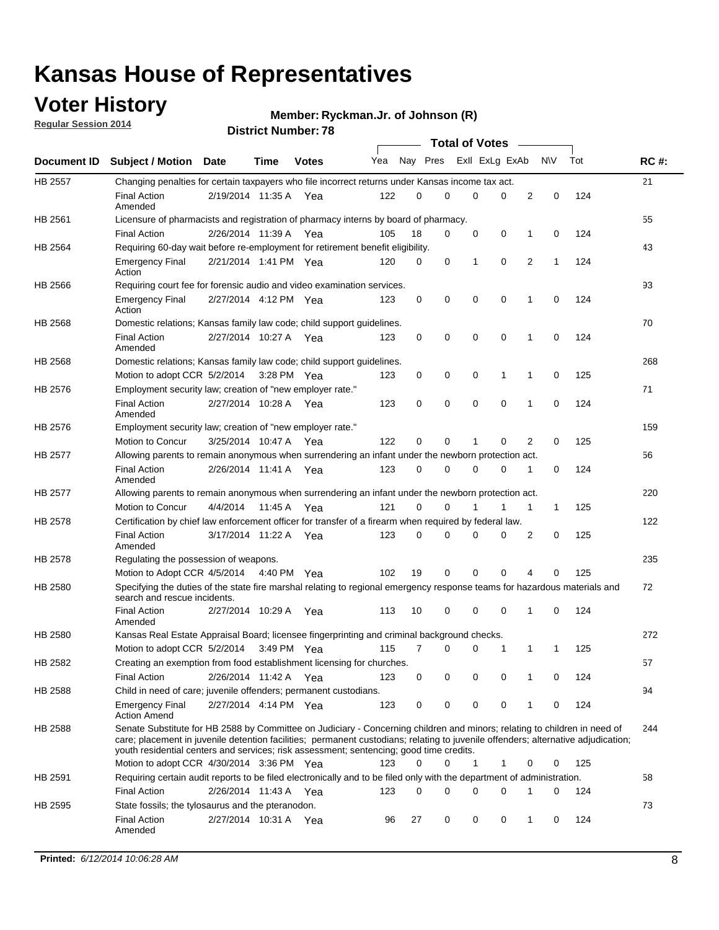### **Voter History**

**Regular Session 2014**

#### **Ryckman.Jr. of Johnson (R)**

|                                                                                                                                                                                                                                                                                                                                                                                                                                                                                                                                                                                                                                                                                                                                                                                                                                                                                                                                                                                                                                                                                                                                                                                                                                                                                                                                                                                                                                                                                                                                                                                                                                                                                                                                                                                                                                                                                                                                                                                                                                                                                                                                                                                                                                                                                                                                                                                                                                                                                                       |                                                                                                                        |                       |         |              |     |          |   | <b>Total of Votes</b> |          |   |             |     |             |
|-------------------------------------------------------------------------------------------------------------------------------------------------------------------------------------------------------------------------------------------------------------------------------------------------------------------------------------------------------------------------------------------------------------------------------------------------------------------------------------------------------------------------------------------------------------------------------------------------------------------------------------------------------------------------------------------------------------------------------------------------------------------------------------------------------------------------------------------------------------------------------------------------------------------------------------------------------------------------------------------------------------------------------------------------------------------------------------------------------------------------------------------------------------------------------------------------------------------------------------------------------------------------------------------------------------------------------------------------------------------------------------------------------------------------------------------------------------------------------------------------------------------------------------------------------------------------------------------------------------------------------------------------------------------------------------------------------------------------------------------------------------------------------------------------------------------------------------------------------------------------------------------------------------------------------------------------------------------------------------------------------------------------------------------------------------------------------------------------------------------------------------------------------------------------------------------------------------------------------------------------------------------------------------------------------------------------------------------------------------------------------------------------------------------------------------------------------------------------------------------------------|------------------------------------------------------------------------------------------------------------------------|-----------------------|---------|--------------|-----|----------|---|-----------------------|----------|---|-------------|-----|-------------|
|                                                                                                                                                                                                                                                                                                                                                                                                                                                                                                                                                                                                                                                                                                                                                                                                                                                                                                                                                                                                                                                                                                                                                                                                                                                                                                                                                                                                                                                                                                                                                                                                                                                                                                                                                                                                                                                                                                                                                                                                                                                                                                                                                                                                                                                                                                                                                                                                                                                                                                       |                                                                                                                        | Date                  | Time    | <b>Votes</b> | Yea | Nay Pres |   | Exll ExLg ExAb        |          |   | <b>NV</b>   | Tot | <b>RC#:</b> |
| HB 2557                                                                                                                                                                                                                                                                                                                                                                                                                                                                                                                                                                                                                                                                                                                                                                                                                                                                                                                                                                                                                                                                                                                                                                                                                                                                                                                                                                                                                                                                                                                                                                                                                                                                                                                                                                                                                                                                                                                                                                                                                                                                                                                                                                                                                                                                                                                                                                                                                                                                                               |                                                                                                                        |                       |         |              |     |          |   |                       |          |   |             |     | 21          |
|                                                                                                                                                                                                                                                                                                                                                                                                                                                                                                                                                                                                                                                                                                                                                                                                                                                                                                                                                                                                                                                                                                                                                                                                                                                                                                                                                                                                                                                                                                                                                                                                                                                                                                                                                                                                                                                                                                                                                                                                                                                                                                                                                                                                                                                                                                                                                                                                                                                                                                       | <b>Final Action</b><br>Amended                                                                                         | 2/19/2014 11:35 A     |         | Yea          | 122 | 0        | 0 | 0                     | 0        | 2 | 0           | 124 |             |
| Document ID Subject / Motion<br>Changing penalties for certain taxpayers who file incorrect returns under Kansas income tax act.<br>HB 2561<br>Licensure of pharmacists and registration of pharmacy interns by board of pharmacy.<br><b>Final Action</b><br>HB 2564<br>Requiring 60-day wait before re-employment for retirement benefit eligibility.<br><b>Emergency Final</b><br>Action<br>HB 2566<br>Requiring court fee for forensic audio and video examination services.<br><b>Emergency Final</b><br>Action<br>HB 2568<br>Domestic relations; Kansas family law code; child support guidelines.<br><b>Final Action</b><br>Amended<br>HB 2568<br>Domestic relations; Kansas family law code; child support guidelines.<br>Motion to adopt CCR 5/2/2014 3:28 PM Yea<br>HB 2576<br>Employment security law; creation of "new employer rate."<br><b>Final Action</b><br>Amended<br>HB 2576<br>Employment security law; creation of "new employer rate."<br>Motion to Concur<br>HB 2577<br>Allowing parents to remain anonymous when surrendering an infant under the newborn protection act.<br><b>Final Action</b><br>Amended<br>HB 2577<br>Allowing parents to remain anonymous when surrendering an infant under the newborn protection act.<br>Motion to Concur<br>Certification by chief law enforcement officer for transfer of a firearm when required by federal law.<br>HB 2578<br><b>Final Action</b><br>Amended<br>HB 2578<br>Regulating the possession of weapons.<br>Motion to Adopt CCR 4/5/2014 4:40 PM Yea<br>HB 2580<br>Specifying the duties of the state fire marshal relating to regional emergency response teams for hazardous materials and<br>search and rescue incidents.<br><b>Final Action</b><br>Amended<br>HB 2580<br>Kansas Real Estate Appraisal Board; licensee fingerprinting and criminal background checks.<br>Motion to adopt CCR 5/2/2014<br>HB 2582<br>Creating an exemption from food establishment licensing for churches.<br><b>Final Action</b><br>HB 2588<br>Child in need of care; juvenile offenders; permanent custodians.<br><b>Emergency Final</b><br><b>Action Amend</b><br>Senate Substitute for HB 2588 by Committee on Judiciary - Concerning children and minors; relating to children in need of<br>HB 2588<br>care; placement in juvenile detention facilities; permanent custodians; relating to juvenile offenders; alternative adjudication;<br>youth residential centers and services; risk assessment; sentencing; good time credits. |                                                                                                                        |                       |         |              |     |          |   |                       |          |   | 55          |     |             |
|                                                                                                                                                                                                                                                                                                                                                                                                                                                                                                                                                                                                                                                                                                                                                                                                                                                                                                                                                                                                                                                                                                                                                                                                                                                                                                                                                                                                                                                                                                                                                                                                                                                                                                                                                                                                                                                                                                                                                                                                                                                                                                                                                                                                                                                                                                                                                                                                                                                                                                       |                                                                                                                        | 2/26/2014 11:39 A Yea |         |              | 105 | 18       | 0 | 0                     | 0        | 1 | 0           | 124 |             |
|                                                                                                                                                                                                                                                                                                                                                                                                                                                                                                                                                                                                                                                                                                                                                                                                                                                                                                                                                                                                                                                                                                                                                                                                                                                                                                                                                                                                                                                                                                                                                                                                                                                                                                                                                                                                                                                                                                                                                                                                                                                                                                                                                                                                                                                                                                                                                                                                                                                                                                       |                                                                                                                        |                       |         |              |     |          |   |                       |          |   |             |     | 43          |
|                                                                                                                                                                                                                                                                                                                                                                                                                                                                                                                                                                                                                                                                                                                                                                                                                                                                                                                                                                                                                                                                                                                                                                                                                                                                                                                                                                                                                                                                                                                                                                                                                                                                                                                                                                                                                                                                                                                                                                                                                                                                                                                                                                                                                                                                                                                                                                                                                                                                                                       |                                                                                                                        | 2/21/2014 1:41 PM Yea |         |              | 120 | 0        | 0 | 1                     | 0        | 2 | 1           | 124 |             |
|                                                                                                                                                                                                                                                                                                                                                                                                                                                                                                                                                                                                                                                                                                                                                                                                                                                                                                                                                                                                                                                                                                                                                                                                                                                                                                                                                                                                                                                                                                                                                                                                                                                                                                                                                                                                                                                                                                                                                                                                                                                                                                                                                                                                                                                                                                                                                                                                                                                                                                       |                                                                                                                        |                       |         |              |     |          |   |                       |          |   |             |     | 93          |
|                                                                                                                                                                                                                                                                                                                                                                                                                                                                                                                                                                                                                                                                                                                                                                                                                                                                                                                                                                                                                                                                                                                                                                                                                                                                                                                                                                                                                                                                                                                                                                                                                                                                                                                                                                                                                                                                                                                                                                                                                                                                                                                                                                                                                                                                                                                                                                                                                                                                                                       |                                                                                                                        | 2/27/2014 4:12 PM Yea |         |              | 123 | 0        | 0 | 0                     | 0        | 1 | $\mathbf 0$ | 124 |             |
|                                                                                                                                                                                                                                                                                                                                                                                                                                                                                                                                                                                                                                                                                                                                                                                                                                                                                                                                                                                                                                                                                                                                                                                                                                                                                                                                                                                                                                                                                                                                                                                                                                                                                                                                                                                                                                                                                                                                                                                                                                                                                                                                                                                                                                                                                                                                                                                                                                                                                                       |                                                                                                                        |                       |         |              |     |          |   |                       |          |   |             |     | 70          |
|                                                                                                                                                                                                                                                                                                                                                                                                                                                                                                                                                                                                                                                                                                                                                                                                                                                                                                                                                                                                                                                                                                                                                                                                                                                                                                                                                                                                                                                                                                                                                                                                                                                                                                                                                                                                                                                                                                                                                                                                                                                                                                                                                                                                                                                                                                                                                                                                                                                                                                       |                                                                                                                        | 2/27/2014 10:27 A     |         | Yea          | 123 | 0        | 0 | 0                     | 0        | 1 | 0           | 124 |             |
|                                                                                                                                                                                                                                                                                                                                                                                                                                                                                                                                                                                                                                                                                                                                                                                                                                                                                                                                                                                                                                                                                                                                                                                                                                                                                                                                                                                                                                                                                                                                                                                                                                                                                                                                                                                                                                                                                                                                                                                                                                                                                                                                                                                                                                                                                                                                                                                                                                                                                                       |                                                                                                                        |                       |         |              |     |          |   |                       |          |   |             |     | 268         |
|                                                                                                                                                                                                                                                                                                                                                                                                                                                                                                                                                                                                                                                                                                                                                                                                                                                                                                                                                                                                                                                                                                                                                                                                                                                                                                                                                                                                                                                                                                                                                                                                                                                                                                                                                                                                                                                                                                                                                                                                                                                                                                                                                                                                                                                                                                                                                                                                                                                                                                       |                                                                                                                        |                       |         |              | 123 | 0        | 0 | 0                     | 1        | 1 | $\mathbf 0$ | 125 |             |
|                                                                                                                                                                                                                                                                                                                                                                                                                                                                                                                                                                                                                                                                                                                                                                                                                                                                                                                                                                                                                                                                                                                                                                                                                                                                                                                                                                                                                                                                                                                                                                                                                                                                                                                                                                                                                                                                                                                                                                                                                                                                                                                                                                                                                                                                                                                                                                                                                                                                                                       |                                                                                                                        |                       |         |              |     |          |   |                       |          |   |             |     | 71          |
|                                                                                                                                                                                                                                                                                                                                                                                                                                                                                                                                                                                                                                                                                                                                                                                                                                                                                                                                                                                                                                                                                                                                                                                                                                                                                                                                                                                                                                                                                                                                                                                                                                                                                                                                                                                                                                                                                                                                                                                                                                                                                                                                                                                                                                                                                                                                                                                                                                                                                                       |                                                                                                                        | 2/27/2014 10:28 A     |         | Yea          | 123 | 0        | 0 | 0                     | 0        | 1 | $\mathbf 0$ | 124 |             |
|                                                                                                                                                                                                                                                                                                                                                                                                                                                                                                                                                                                                                                                                                                                                                                                                                                                                                                                                                                                                                                                                                                                                                                                                                                                                                                                                                                                                                                                                                                                                                                                                                                                                                                                                                                                                                                                                                                                                                                                                                                                                                                                                                                                                                                                                                                                                                                                                                                                                                                       |                                                                                                                        |                       |         |              |     |          |   |                       |          |   |             |     | 159         |
|                                                                                                                                                                                                                                                                                                                                                                                                                                                                                                                                                                                                                                                                                                                                                                                                                                                                                                                                                                                                                                                                                                                                                                                                                                                                                                                                                                                                                                                                                                                                                                                                                                                                                                                                                                                                                                                                                                                                                                                                                                                                                                                                                                                                                                                                                                                                                                                                                                                                                                       |                                                                                                                        | 3/25/2014 10:47 A     |         | Yea          | 122 | 0        | 0 | 1                     | 0        | 2 | 0           | 125 |             |
|                                                                                                                                                                                                                                                                                                                                                                                                                                                                                                                                                                                                                                                                                                                                                                                                                                                                                                                                                                                                                                                                                                                                                                                                                                                                                                                                                                                                                                                                                                                                                                                                                                                                                                                                                                                                                                                                                                                                                                                                                                                                                                                                                                                                                                                                                                                                                                                                                                                                                                       |                                                                                                                        |                       |         |              |     |          |   |                       |          |   |             |     | 56          |
|                                                                                                                                                                                                                                                                                                                                                                                                                                                                                                                                                                                                                                                                                                                                                                                                                                                                                                                                                                                                                                                                                                                                                                                                                                                                                                                                                                                                                                                                                                                                                                                                                                                                                                                                                                                                                                                                                                                                                                                                                                                                                                                                                                                                                                                                                                                                                                                                                                                                                                       |                                                                                                                        | 2/26/2014 11:41 A Yea |         |              | 123 | $\Omega$ | 0 | 0                     | 0        | 1 | 0           | 124 |             |
|                                                                                                                                                                                                                                                                                                                                                                                                                                                                                                                                                                                                                                                                                                                                                                                                                                                                                                                                                                                                                                                                                                                                                                                                                                                                                                                                                                                                                                                                                                                                                                                                                                                                                                                                                                                                                                                                                                                                                                                                                                                                                                                                                                                                                                                                                                                                                                                                                                                                                                       |                                                                                                                        |                       |         |              |     |          |   |                       |          |   |             |     | 220         |
|                                                                                                                                                                                                                                                                                                                                                                                                                                                                                                                                                                                                                                                                                                                                                                                                                                                                                                                                                                                                                                                                                                                                                                                                                                                                                                                                                                                                                                                                                                                                                                                                                                                                                                                                                                                                                                                                                                                                                                                                                                                                                                                                                                                                                                                                                                                                                                                                                                                                                                       |                                                                                                                        | 4/4/2014              | 11:45 A | Yea          | 121 | 0        | 0 |                       | 1        | 1 | 1           | 125 |             |
|                                                                                                                                                                                                                                                                                                                                                                                                                                                                                                                                                                                                                                                                                                                                                                                                                                                                                                                                                                                                                                                                                                                                                                                                                                                                                                                                                                                                                                                                                                                                                                                                                                                                                                                                                                                                                                                                                                                                                                                                                                                                                                                                                                                                                                                                                                                                                                                                                                                                                                       |                                                                                                                        |                       |         |              |     |          |   |                       |          |   |             |     | 122         |
|                                                                                                                                                                                                                                                                                                                                                                                                                                                                                                                                                                                                                                                                                                                                                                                                                                                                                                                                                                                                                                                                                                                                                                                                                                                                                                                                                                                                                                                                                                                                                                                                                                                                                                                                                                                                                                                                                                                                                                                                                                                                                                                                                                                                                                                                                                                                                                                                                                                                                                       |                                                                                                                        | 3/17/2014 11:22 A     |         | Yea          | 123 | $\Omega$ | 0 | 0                     | 0        | 2 | 0           | 125 |             |
|                                                                                                                                                                                                                                                                                                                                                                                                                                                                                                                                                                                                                                                                                                                                                                                                                                                                                                                                                                                                                                                                                                                                                                                                                                                                                                                                                                                                                                                                                                                                                                                                                                                                                                                                                                                                                                                                                                                                                                                                                                                                                                                                                                                                                                                                                                                                                                                                                                                                                                       |                                                                                                                        |                       |         |              |     |          |   |                       |          |   |             |     | 235         |
|                                                                                                                                                                                                                                                                                                                                                                                                                                                                                                                                                                                                                                                                                                                                                                                                                                                                                                                                                                                                                                                                                                                                                                                                                                                                                                                                                                                                                                                                                                                                                                                                                                                                                                                                                                                                                                                                                                                                                                                                                                                                                                                                                                                                                                                                                                                                                                                                                                                                                                       |                                                                                                                        |                       |         |              | 102 | 19       | 0 | 0                     | $\Omega$ | 4 | 0           | 125 |             |
|                                                                                                                                                                                                                                                                                                                                                                                                                                                                                                                                                                                                                                                                                                                                                                                                                                                                                                                                                                                                                                                                                                                                                                                                                                                                                                                                                                                                                                                                                                                                                                                                                                                                                                                                                                                                                                                                                                                                                                                                                                                                                                                                                                                                                                                                                                                                                                                                                                                                                                       |                                                                                                                        |                       |         |              |     |          |   |                       |          |   |             |     | 72          |
|                                                                                                                                                                                                                                                                                                                                                                                                                                                                                                                                                                                                                                                                                                                                                                                                                                                                                                                                                                                                                                                                                                                                                                                                                                                                                                                                                                                                                                                                                                                                                                                                                                                                                                                                                                                                                                                                                                                                                                                                                                                                                                                                                                                                                                                                                                                                                                                                                                                                                                       |                                                                                                                        | 2/27/2014 10:29 A     |         | Yea          | 113 | 10       | 0 | 0                     | 0        | 1 | 0           | 124 |             |
|                                                                                                                                                                                                                                                                                                                                                                                                                                                                                                                                                                                                                                                                                                                                                                                                                                                                                                                                                                                                                                                                                                                                                                                                                                                                                                                                                                                                                                                                                                                                                                                                                                                                                                                                                                                                                                                                                                                                                                                                                                                                                                                                                                                                                                                                                                                                                                                                                                                                                                       |                                                                                                                        |                       |         |              |     |          |   |                       |          |   |             |     | 272         |
|                                                                                                                                                                                                                                                                                                                                                                                                                                                                                                                                                                                                                                                                                                                                                                                                                                                                                                                                                                                                                                                                                                                                                                                                                                                                                                                                                                                                                                                                                                                                                                                                                                                                                                                                                                                                                                                                                                                                                                                                                                                                                                                                                                                                                                                                                                                                                                                                                                                                                                       |                                                                                                                        |                       |         | 3:49 PM Yea  | 115 | 7        | 0 | 0                     | 1        | 1 | 1           | 125 |             |
|                                                                                                                                                                                                                                                                                                                                                                                                                                                                                                                                                                                                                                                                                                                                                                                                                                                                                                                                                                                                                                                                                                                                                                                                                                                                                                                                                                                                                                                                                                                                                                                                                                                                                                                                                                                                                                                                                                                                                                                                                                                                                                                                                                                                                                                                                                                                                                                                                                                                                                       |                                                                                                                        |                       |         |              |     |          |   |                       |          |   |             |     | 57          |
|                                                                                                                                                                                                                                                                                                                                                                                                                                                                                                                                                                                                                                                                                                                                                                                                                                                                                                                                                                                                                                                                                                                                                                                                                                                                                                                                                                                                                                                                                                                                                                                                                                                                                                                                                                                                                                                                                                                                                                                                                                                                                                                                                                                                                                                                                                                                                                                                                                                                                                       |                                                                                                                        | 2/26/2014 11:42 A Yea |         |              | 123 | 0        | 0 | 0                     | 0        | 1 | 0           | 124 |             |
|                                                                                                                                                                                                                                                                                                                                                                                                                                                                                                                                                                                                                                                                                                                                                                                                                                                                                                                                                                                                                                                                                                                                                                                                                                                                                                                                                                                                                                                                                                                                                                                                                                                                                                                                                                                                                                                                                                                                                                                                                                                                                                                                                                                                                                                                                                                                                                                                                                                                                                       |                                                                                                                        |                       |         |              |     |          |   |                       |          |   |             |     | 94          |
|                                                                                                                                                                                                                                                                                                                                                                                                                                                                                                                                                                                                                                                                                                                                                                                                                                                                                                                                                                                                                                                                                                                                                                                                                                                                                                                                                                                                                                                                                                                                                                                                                                                                                                                                                                                                                                                                                                                                                                                                                                                                                                                                                                                                                                                                                                                                                                                                                                                                                                       |                                                                                                                        | 2/27/2014 4:14 PM Yea |         |              | 123 | 0        | 0 | 0                     | 0        | 1 | 0           | 124 |             |
|                                                                                                                                                                                                                                                                                                                                                                                                                                                                                                                                                                                                                                                                                                                                                                                                                                                                                                                                                                                                                                                                                                                                                                                                                                                                                                                                                                                                                                                                                                                                                                                                                                                                                                                                                                                                                                                                                                                                                                                                                                                                                                                                                                                                                                                                                                                                                                                                                                                                                                       |                                                                                                                        |                       |         |              |     |          |   |                       |          |   |             |     | 244         |
|                                                                                                                                                                                                                                                                                                                                                                                                                                                                                                                                                                                                                                                                                                                                                                                                                                                                                                                                                                                                                                                                                                                                                                                                                                                                                                                                                                                                                                                                                                                                                                                                                                                                                                                                                                                                                                                                                                                                                                                                                                                                                                                                                                                                                                                                                                                                                                                                                                                                                                       | Motion to adopt CCR 4/30/2014 3:36 PM Yea                                                                              |                       |         |              | 123 | 0        | 0 | 1                     | 1        | 0 | 0           | 125 |             |
| HB 2591                                                                                                                                                                                                                                                                                                                                                                                                                                                                                                                                                                                                                                                                                                                                                                                                                                                                                                                                                                                                                                                                                                                                                                                                                                                                                                                                                                                                                                                                                                                                                                                                                                                                                                                                                                                                                                                                                                                                                                                                                                                                                                                                                                                                                                                                                                                                                                                                                                                                                               | Requiring certain audit reports to be filed electronically and to be filed only with the department of administration. |                       |         |              |     |          |   |                       |          |   |             |     | 58          |
|                                                                                                                                                                                                                                                                                                                                                                                                                                                                                                                                                                                                                                                                                                                                                                                                                                                                                                                                                                                                                                                                                                                                                                                                                                                                                                                                                                                                                                                                                                                                                                                                                                                                                                                                                                                                                                                                                                                                                                                                                                                                                                                                                                                                                                                                                                                                                                                                                                                                                                       | <b>Final Action</b>                                                                                                    | 2/26/2014 11:43 A Yea |         |              | 123 | 0        | 0 | 0                     | 0        | 1 | 0           | 124 |             |
| HB 2595                                                                                                                                                                                                                                                                                                                                                                                                                                                                                                                                                                                                                                                                                                                                                                                                                                                                                                                                                                                                                                                                                                                                                                                                                                                                                                                                                                                                                                                                                                                                                                                                                                                                                                                                                                                                                                                                                                                                                                                                                                                                                                                                                                                                                                                                                                                                                                                                                                                                                               | State fossils; the tylosaurus and the pteranodon.                                                                      |                       |         |              |     |          |   |                       |          |   |             |     | 73          |
|                                                                                                                                                                                                                                                                                                                                                                                                                                                                                                                                                                                                                                                                                                                                                                                                                                                                                                                                                                                                                                                                                                                                                                                                                                                                                                                                                                                                                                                                                                                                                                                                                                                                                                                                                                                                                                                                                                                                                                                                                                                                                                                                                                                                                                                                                                                                                                                                                                                                                                       | <b>Final Action</b><br>Amended                                                                                         | 2/27/2014 10:31 A Yea |         |              | 96  | 27       | 0 | 0                     | 0        | 1 | 0           | 124 |             |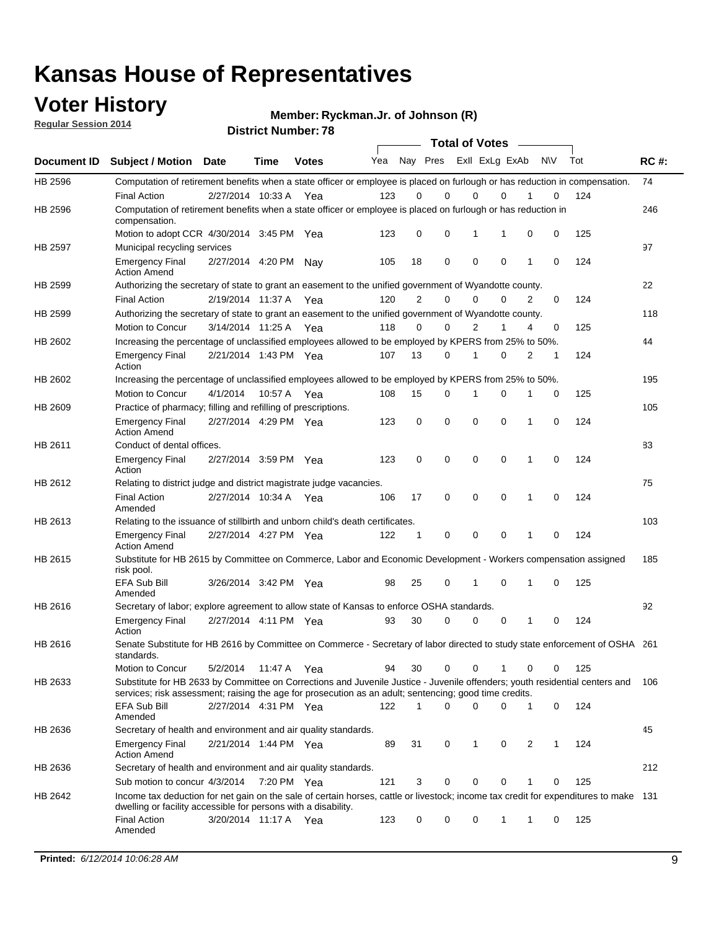### **Voter History**

**Regular Session 2014**

**Ryckman.Jr. of Johnson (R)**

|                |                                                                                                                                                                                                                                       |                       |             | <b>DISTRICT MAILINGLE 10</b> |     |                |             | <b>Total of Votes</b> |             |           |   |     |             |
|----------------|---------------------------------------------------------------------------------------------------------------------------------------------------------------------------------------------------------------------------------------|-----------------------|-------------|------------------------------|-----|----------------|-------------|-----------------------|-------------|-----------|---|-----|-------------|
| Document ID    | <b>Subject / Motion</b>                                                                                                                                                                                                               | <b>Date</b>           | Time        | <b>Votes</b>                 | Yea |                | Nay Pres    | Exll ExLg ExAb        |             | <b>NV</b> |   | Tot | <b>RC#:</b> |
| HB 2596        | Computation of retirement benefits when a state officer or employee is placed on furlough or has reduction in compensation.                                                                                                           |                       |             |                              |     |                |             |                       |             |           |   |     | 74          |
|                | <b>Final Action</b>                                                                                                                                                                                                                   | 2/27/2014 10:33 A     |             | Yea                          | 123 | 0              | $\Omega$    | 0                     | $\Omega$    |           | 0 | 124 |             |
| HB 2596        | Computation of retirement benefits when a state officer or employee is placed on furlough or has reduction in<br>compensation.                                                                                                        |                       |             |                              |     |                |             |                       |             |           |   |     | 246         |
|                | Motion to adopt CCR 4/30/2014 3:45 PM Yea                                                                                                                                                                                             |                       |             |                              | 123 | 0              | 0           | 1                     | 1           | 0         | 0 | 125 |             |
| <b>HB 2597</b> | Municipal recycling services                                                                                                                                                                                                          |                       |             |                              |     |                |             |                       |             |           |   |     | 97          |
|                | <b>Emergency Final</b><br><b>Action Amend</b>                                                                                                                                                                                         | 2/27/2014 4:20 PM     |             | Nav                          | 105 | 18             | $\mathbf 0$ | $\mathbf 0$           | $\mathbf 0$ | 1         | 0 | 124 |             |
| HB 2599        | Authorizing the secretary of state to grant an easement to the unified government of Wyandotte county.                                                                                                                                |                       |             |                              |     |                |             |                       |             |           |   |     | 22          |
|                | <b>Final Action</b>                                                                                                                                                                                                                   | 2/19/2014 11:37 A     |             | Yea                          | 120 | $\overline{2}$ | $\mathbf 0$ | 0                     | $\Omega$    | 2         | 0 | 124 |             |
| HB 2599        | Authorizing the secretary of state to grant an easement to the unified government of Wyandotte county.                                                                                                                                |                       |             |                              |     |                |             |                       |             |           |   |     | 118         |
|                | Motion to Concur                                                                                                                                                                                                                      | 3/14/2014 11:25 A     |             | Yea                          | 118 | $\Omega$       | 0           | $\overline{2}$        | 1           | 4         | 0 | 125 |             |
| HB 2602        | Increasing the percentage of unclassified employees allowed to be employed by KPERS from 25% to 50%.                                                                                                                                  |                       |             |                              |     |                |             |                       |             |           |   |     | 44          |
|                | <b>Emergency Final</b><br>Action                                                                                                                                                                                                      | 2/21/2014 1:43 PM Yea |             |                              | 107 | 13             | 0           | 1                     | $\Omega$    | 2         | 1 | 124 |             |
| HB 2602        | Increasing the percentage of unclassified employees allowed to be employed by KPERS from 25% to 50%.                                                                                                                                  |                       |             |                              |     |                |             |                       |             |           |   |     | 195         |
|                | Motion to Concur                                                                                                                                                                                                                      | 4/1/2014              | 10:57 A Yea |                              | 108 | 15             | 0           | 1                     | 0           | 1         | 0 | 125 |             |
| HB 2609        | Practice of pharmacy; filling and refilling of prescriptions.                                                                                                                                                                         |                       |             |                              |     |                |             |                       |             |           |   |     | 105         |
|                | <b>Emergency Final</b><br><b>Action Amend</b>                                                                                                                                                                                         | 2/27/2014 4:29 PM Yea |             |                              | 123 | 0              | $\mathbf 0$ | $\mathbf 0$           | $\Omega$    | 1         | 0 | 124 |             |
| HB 2611        | Conduct of dental offices.                                                                                                                                                                                                            |                       |             |                              |     |                |             |                       |             |           |   |     | 83          |
|                | <b>Emergency Final</b><br>Action                                                                                                                                                                                                      | 2/27/2014 3:59 PM Yea |             |                              | 123 | 0              | $\mathbf 0$ | $\mathbf 0$           | $\mathbf 0$ | 1         | 0 | 124 |             |
| HB 2612        | Relating to district judge and district magistrate judge vacancies.                                                                                                                                                                   |                       |             |                              |     |                |             |                       |             |           |   |     | 75          |
|                | <b>Final Action</b><br>Amended                                                                                                                                                                                                        | 2/27/2014 10:34 A     |             | Yea                          | 106 | 17             | $\mathbf 0$ | $\mathbf 0$           | $\mathbf 0$ | 1         | 0 | 124 |             |
| HB 2613        | Relating to the issuance of stillbirth and unborn child's death certificates.                                                                                                                                                         |                       |             |                              |     |                |             |                       |             |           |   |     | 103         |
|                | <b>Emergency Final</b><br><b>Action Amend</b>                                                                                                                                                                                         | 2/27/2014 4:27 PM Yea |             |                              | 122 | 1              | 0           | $\mathbf 0$           | $\Omega$    | 1         | 0 | 124 |             |
| HB 2615        | Substitute for HB 2615 by Committee on Commerce, Labor and Economic Development - Workers compensation assigned<br>risk pool.                                                                                                         |                       |             |                              |     |                |             |                       |             |           |   |     | 185         |
|                | EFA Sub Bill<br>Amended                                                                                                                                                                                                               | 3/26/2014 3:42 PM Yea |             |                              | 98  | 25             | 0           | 1                     | $\mathbf 0$ | 1         | 0 | 125 |             |
| HB 2616        | Secretary of labor; explore agreement to allow state of Kansas to enforce OSHA standards.                                                                                                                                             |                       |             |                              |     |                |             |                       |             |           |   |     | 92          |
|                | <b>Emergency Final</b><br>Action                                                                                                                                                                                                      | 2/27/2014 4:11 PM Yea |             |                              | 93  | 30             | 0           | 0                     | 0           | 1         | 0 | 124 |             |
| HB 2616        | Senate Substitute for HB 2616 by Committee on Commerce - Secretary of labor directed to study state enforcement of OSHA 261<br>standards.                                                                                             |                       |             |                              |     |                |             |                       |             |           |   |     |             |
|                | Motion to Concur                                                                                                                                                                                                                      | 5/2/2014              | 11:47 A Yea |                              | 94  | 30             | 0           | 0                     | 1           | 0         | 0 | 125 |             |
| HB 2633        | Substitute for HB 2633 by Committee on Corrections and Juvenile Justice - Juvenile offenders; youth residential centers and<br>services; risk assessment; raising the age for prosecution as an adult; sentencing; good time credits. |                       |             |                              |     |                |             |                       |             |           |   |     | 106         |
|                | EFA Sub Bill<br>Amended                                                                                                                                                                                                               | 2/27/2014 4:31 PM Yea |             |                              | 122 | 1              | 0           | $\mathbf 0$           | 0           | 1         | 0 | 124 |             |
| HB 2636        | Secretary of health and environment and air quality standards.                                                                                                                                                                        |                       |             |                              |     |                |             |                       |             |           |   |     | 45          |
|                | <b>Emergency Final</b><br><b>Action Amend</b>                                                                                                                                                                                         | 2/21/2014 1:44 PM Yea |             |                              | 89  | 31             | 0           | 1                     | 0           | 2         | 1 | 124 |             |
| HB 2636        | Secretary of health and environment and air quality standards.                                                                                                                                                                        |                       |             |                              |     |                |             |                       |             |           |   |     | 212         |
|                | Sub motion to concur 4/3/2014                                                                                                                                                                                                         |                       | 7:20 PM Yea |                              | 121 | 3              | 0           | 0                     | 0           |           | 0 | 125 |             |
| HB 2642        | Income tax deduction for net gain on the sale of certain horses, cattle or livestock; income tax credit for expenditures to make 131<br>dwelling or facility accessible for persons with a disability.                                |                       |             |                              |     |                |             |                       |             |           |   |     |             |
|                | <b>Final Action</b><br>Amended                                                                                                                                                                                                        | 3/20/2014 11:17 A Yea |             |                              | 123 | 0              | 0           | 0                     | 1           | 1         | 0 | 125 |             |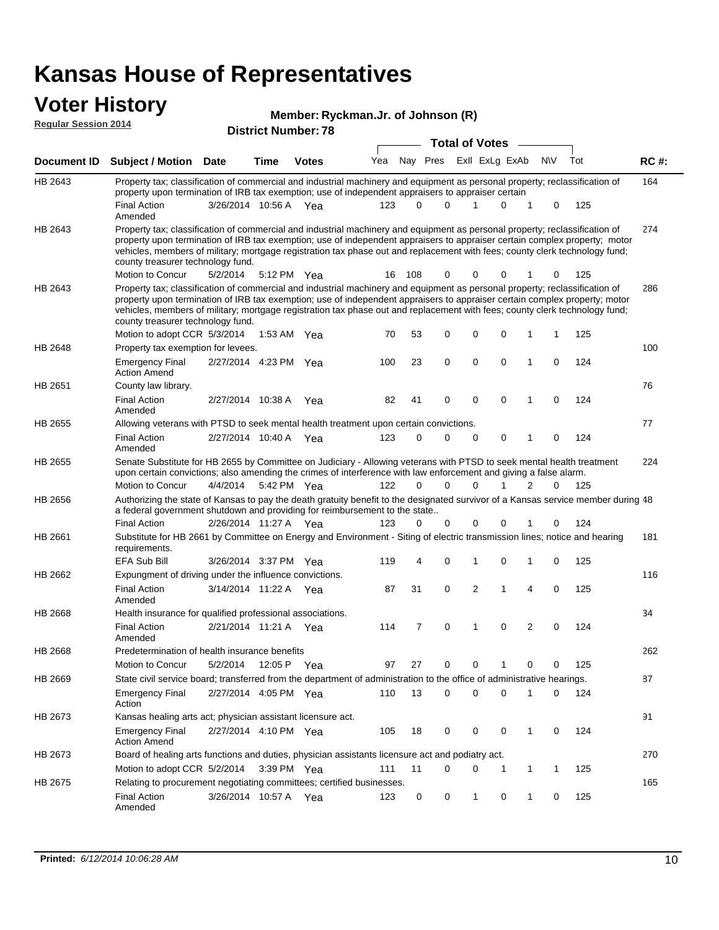# **Voter History**<br> **Regular Session 2014**

|                             |                                                                                                                                                                                                                                                                                                                                                                                                                               |                       |      | Member: Ryckman.Jr. of Johnson (R) |     |     |          |                       |                |              |            |     |       |
|-----------------------------|-------------------------------------------------------------------------------------------------------------------------------------------------------------------------------------------------------------------------------------------------------------------------------------------------------------------------------------------------------------------------------------------------------------------------------|-----------------------|------|------------------------------------|-----|-----|----------|-----------------------|----------------|--------------|------------|-----|-------|
| <b>Regular Session 2014</b> |                                                                                                                                                                                                                                                                                                                                                                                                                               |                       |      | <b>District Number: 78</b>         |     |     |          |                       |                |              |            |     |       |
|                             |                                                                                                                                                                                                                                                                                                                                                                                                                               |                       |      |                                    |     |     |          | <b>Total of Votes</b> |                |              |            |     |       |
| Document ID                 | <b>Subject / Motion Date</b>                                                                                                                                                                                                                                                                                                                                                                                                  |                       | Time | <b>Votes</b>                       | Yea |     | Nay Pres |                       | Exll ExLg ExAb |              | <b>NIV</b> | Tot | RC #: |
| HB 2643                     | Property tax; classification of commercial and industrial machinery and equipment as personal property; reclassification of<br>property upon termination of IRB tax exemption; use of independent appraisers to appraiser certain                                                                                                                                                                                             |                       |      |                                    |     |     |          |                       |                |              |            |     | 164   |
|                             | <b>Final Action</b><br>Amended                                                                                                                                                                                                                                                                                                                                                                                                | 3/26/2014 10:56 A Yea |      |                                    | 123 | 0   | 0        | 1                     | $\Omega$       | 1            | 0          | 125 |       |
| HB 2643                     | Property tax; classification of commercial and industrial machinery and equipment as personal property; reclassification of<br>property upon termination of IRB tax exemption; use of independent appraisers to appraiser certain complex property; motor<br>vehicles, members of military; mortgage registration tax phase out and replacement with fees; county clerk technology fund;<br>county treasurer technology fund. |                       |      |                                    |     |     |          |                       |                |              |            |     | 274   |
|                             | Motion to Concur                                                                                                                                                                                                                                                                                                                                                                                                              | 5/2/2014              |      | 5:12 PM Yea                        | 16  | 108 | 0        | 0                     | 0              |              | 0          | 125 |       |
| HB 2643                     | Property tax; classification of commercial and industrial machinery and equipment as personal property; reclassification of<br>property upon termination of IRB tax exemption; use of independent appraisers to appraiser certain complex property; motor<br>vehicles, members of military; mortgage registration tax phase out and replacement with fees; county clerk technology fund;<br>county treasurer technology fund. |                       |      |                                    |     |     |          |                       |                |              |            |     | 286   |
|                             | Motion to adopt CCR 5/3/2014                                                                                                                                                                                                                                                                                                                                                                                                  |                       |      | 1:53 AM Yea                        | 70  | 53  | 0        | 0                     | 0              | 1            |            | 125 |       |
| HB 2648                     | Property tax exemption for levees.                                                                                                                                                                                                                                                                                                                                                                                            |                       |      |                                    |     |     |          |                       |                |              |            |     | 100   |
|                             | <b>Emergency Final</b><br><b>Action Amend</b>                                                                                                                                                                                                                                                                                                                                                                                 | 2/27/2014 4:23 PM     |      | Yea                                | 100 | 23  | 0        | 0                     | $\mathbf 0$    | 1            | 0          | 124 |       |
| HB 2651                     | County law library.                                                                                                                                                                                                                                                                                                                                                                                                           |                       |      |                                    |     |     |          |                       |                |              |            |     | 76    |
|                             | <b>Final Action</b><br>Amended                                                                                                                                                                                                                                                                                                                                                                                                | 2/27/2014 10:38 A     |      | Yea                                | 82  | 41  | 0        | 0                     | $\mathbf 0$    | 1            | 0          | 124 |       |
| HB 2655                     | Allowing veterans with PTSD to seek mental health treatment upon certain convictions.                                                                                                                                                                                                                                                                                                                                         |                       |      |                                    |     |     |          |                       |                |              |            |     | 77    |
|                             | <b>Final Action</b><br>Amended                                                                                                                                                                                                                                                                                                                                                                                                | 2/27/2014 10:40 A     |      | Yea                                | 123 | 0   | 0        | 0                     | 0              | 1            | 0          | 124 |       |
| HB 2655                     | Senate Substitute for HB 2655 by Committee on Judiciary - Allowing veterans with PTSD to seek mental health treatment<br>upon certain convictions; also amending the crimes of interference with law enforcement and giving a false alarm.                                                                                                                                                                                    |                       |      |                                    |     |     |          |                       |                |              |            |     | 224   |
|                             | Motion to Concur                                                                                                                                                                                                                                                                                                                                                                                                              | 4/4/2014              |      | 5:42 PM Yea                        | 122 | 0   | 0        | $\Omega$              |                | 2            | 0          | 125 |       |
| HB 2656                     | Authorizing the state of Kansas to pay the death gratuity benefit to the designated survivor of a Kansas service member during 48<br>a federal government shutdown and providing for reimbursement to the state                                                                                                                                                                                                               |                       |      |                                    |     |     |          |                       |                |              |            |     |       |
|                             | <b>Final Action</b>                                                                                                                                                                                                                                                                                                                                                                                                           | 2/26/2014 11:27 A Yea |      |                                    | 123 | 0   | 0        | 0                     | $\mathbf 0$    |              | 0          | 124 |       |
| <b>HB 2661</b>              | Substitute for HB 2661 by Committee on Energy and Environment - Siting of electric transmission lines; notice and hearing<br>requirements.                                                                                                                                                                                                                                                                                    |                       |      |                                    |     |     |          |                       |                |              |            |     | 181   |
|                             | <b>EFA Sub Bill</b>                                                                                                                                                                                                                                                                                                                                                                                                           | 3/26/2014 3:37 PM     |      | Yea                                | 119 | 4   | 0        | 1                     | 0              | 1            | 0          | 125 |       |
| HB 2662                     | Expungment of driving under the influence convictions.                                                                                                                                                                                                                                                                                                                                                                        |                       |      |                                    |     |     |          |                       |                |              |            |     | 116   |
|                             | <b>Final Action</b><br>Amended                                                                                                                                                                                                                                                                                                                                                                                                | 3/14/2014 11:22 A Yea |      |                                    | 87  | 31  | 0        | 2                     | 1              | 4            | 0          | 125 |       |
| HB 2668                     | Health insurance for qualified professional associations.                                                                                                                                                                                                                                                                                                                                                                     |                       |      |                                    |     |     |          |                       |                |              |            |     | 34    |
|                             | <b>Final Action</b><br>Amended                                                                                                                                                                                                                                                                                                                                                                                                | 2/21/2014 11:21 A Yea |      |                                    | 114 | 7   | 0        | 1                     | 0              | 2            | 0          | 124 |       |
| HB 2668                     | Predetermination of health insurance benefits                                                                                                                                                                                                                                                                                                                                                                                 |                       |      |                                    |     |     |          |                       |                |              |            |     | 262   |
|                             | Motion to Concur                                                                                                                                                                                                                                                                                                                                                                                                              | 5/2/2014              |      | 12:05 P Yea                        | 97  | 27  | 0        | 0                     | 1              | 0            | 0          | 125 |       |
| HB 2669                     | State civil service board; transferred from the department of administration to the office of administrative hearings.                                                                                                                                                                                                                                                                                                        |                       |      |                                    |     |     |          |                       |                |              |            |     | 87    |
|                             | <b>Emergency Final</b><br>Action                                                                                                                                                                                                                                                                                                                                                                                              | 2/27/2014 4:05 PM Yea |      |                                    | 110 | 13  | 0        | 0                     | $\mathbf 0$    | 1            | 0          | 124 |       |
| HB 2673                     | Kansas healing arts act; physician assistant licensure act.                                                                                                                                                                                                                                                                                                                                                                   |                       |      |                                    |     |     |          |                       |                |              |            |     | 91    |
|                             | <b>Emergency Final</b><br><b>Action Amend</b>                                                                                                                                                                                                                                                                                                                                                                                 | 2/27/2014 4:10 PM Yea |      |                                    | 105 | 18  | 0        | 0                     | 0              | 1            | 0          | 124 |       |
| HB 2673                     | Board of healing arts functions and duties, physician assistants licensure act and podiatry act.                                                                                                                                                                                                                                                                                                                              |                       |      |                                    |     |     |          |                       |                |              |            |     | 270   |
|                             | Motion to adopt CCR 5/2/2014                                                                                                                                                                                                                                                                                                                                                                                                  |                       |      | 3:39 PM Yea                        | 111 | 11  | 0        | 0                     | 1              | $\mathbf{1}$ | 1          | 125 |       |
| HB 2675                     | Relating to procurement negotiating committees; certified businesses.                                                                                                                                                                                                                                                                                                                                                         |                       |      |                                    |     |     |          |                       |                |              |            |     | 165   |

Final Action 3/26/2014 10:57 A Yea 123 0 0 1 0 125

Amended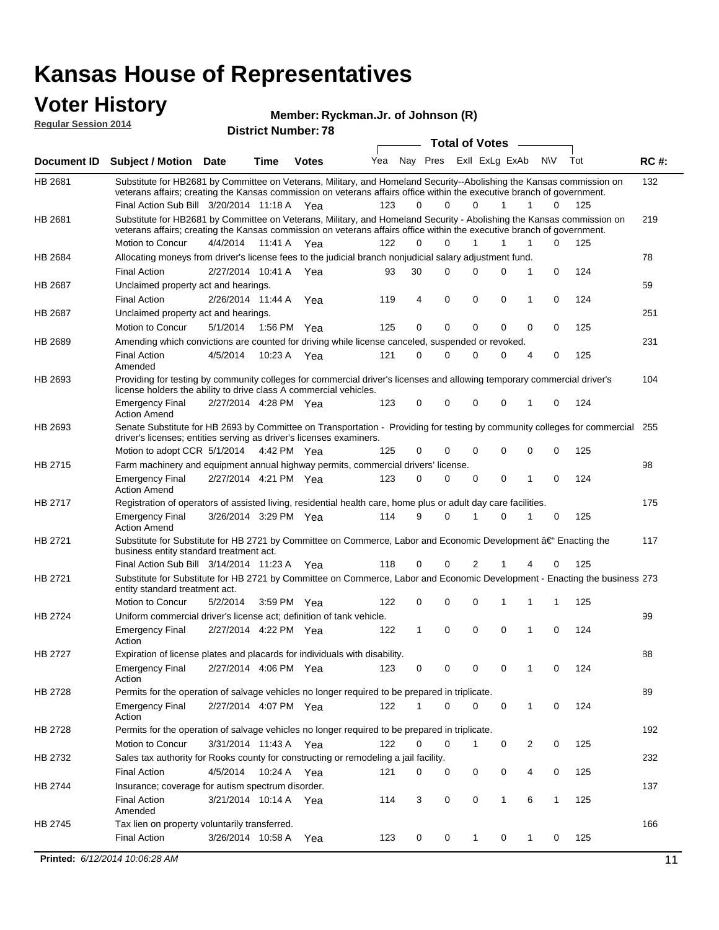#### **Voter History Regular Session 2014**

**Ryckman.Jr. of Johnson (R)**

|                    |                                                                                                                                                                                                                                                                                               | <b>District Number: 78</b> |         | Total of Votes – |     |             |          |              |   |                |                   |     |             |
|--------------------|-----------------------------------------------------------------------------------------------------------------------------------------------------------------------------------------------------------------------------------------------------------------------------------------------|----------------------------|---------|------------------|-----|-------------|----------|--------------|---|----------------|-------------------|-----|-------------|
|                    |                                                                                                                                                                                                                                                                                               |                            |         |                  |     |             |          |              |   |                |                   |     |             |
| <b>Document ID</b> | Subject / Motion Date                                                                                                                                                                                                                                                                         |                            | Time    | <b>Votes</b>     | Yea |             | Nay Pres |              |   | Exll ExLg ExAb | N\V               | Tot | <b>RC#:</b> |
| HB 2681            | Substitute for HB2681 by Committee on Veterans, Military, and Homeland Security--Abolishing the Kansas commission on<br>veterans affairs; creating the Kansas commission on veterans affairs office within the executive branch of government.<br>Final Action Sub Bill 3/20/2014 11:18 A Yea |                            |         |                  | 123 | 0           | $\Omega$ |              | 0 | 1              | 1<br>0            | 125 | 132         |
| HB 2681            | Substitute for HB2681 by Committee on Veterans, Military, and Homeland Security - Abolishing the Kansas commission on                                                                                                                                                                         |                            |         |                  |     |             |          |              |   |                |                   |     | 219         |
|                    | veterans affairs; creating the Kansas commission on veterans affairs office within the executive branch of government.                                                                                                                                                                        |                            |         |                  |     |             |          |              |   |                |                   |     |             |
|                    | Motion to Concur                                                                                                                                                                                                                                                                              | 4/4/2014                   | 11:41 A | Yea              | 122 | $\Omega$    | $\Omega$ | 1            |   | 1              | $\Omega$<br>1     | 125 |             |
| HB 2684            | Allocating moneys from driver's license fees to the judicial branch nonjudicial salary adjustment fund.                                                                                                                                                                                       |                            |         |                  |     |             |          |              |   |                |                   |     | 78          |
|                    | <b>Final Action</b>                                                                                                                                                                                                                                                                           | 2/27/2014 10:41 A          |         | Yea              | 93  | 30          | $\Omega$ | 0            |   | $\Omega$       | 1<br>0            | 124 |             |
| HB 2687            | Unclaimed property act and hearings.                                                                                                                                                                                                                                                          |                            |         |                  |     |             |          |              |   |                |                   |     | 59          |
|                    | <b>Final Action</b>                                                                                                                                                                                                                                                                           | 2/26/2014 11:44 A          |         | Yea              | 119 | 4           | 0        | 0            |   | 0              | 0<br>1            | 124 |             |
| HB 2687            | Unclaimed property act and hearings.                                                                                                                                                                                                                                                          |                            |         |                  |     |             |          |              |   |                |                   |     | 251         |
|                    | Motion to Concur                                                                                                                                                                                                                                                                              | 5/1/2014                   |         | 1:56 PM Yea      | 125 | $\mathbf 0$ | 0        | 0            |   | 0              | 0<br>0            | 125 |             |
| HB 2689            | Amending which convictions are counted for driving while license canceled, suspended or revoked.                                                                                                                                                                                              |                            |         |                  |     |             |          |              |   |                |                   |     | 231         |
|                    | <b>Final Action</b><br>Amended                                                                                                                                                                                                                                                                | 4/5/2014                   | 10:23 A | Yea              | 121 | 0           | $\Omega$ | 0            |   | $\Omega$       | 4<br>0            | 125 |             |
| HB 2693            | Providing for testing by community colleges for commercial driver's licenses and allowing temporary commercial driver's<br>104<br>license holders the ability to drive class A commercial vehicles.                                                                                           |                            |         |                  |     |             |          |              |   |                |                   |     |             |
|                    | <b>Emergency Final</b><br><b>Action Amend</b>                                                                                                                                                                                                                                                 | 2/27/2014 4:28 PM Yea      |         |                  | 123 | 0           | $\Omega$ | 0            |   | 0<br>1         | 0                 | 124 |             |
| HB 2693            | Senate Substitute for HB 2693 by Committee on Transportation - Providing for testing by community colleges for commercial 255<br>driver's licenses; entities serving as driver's licenses examiners.                                                                                          |                            |         |                  |     |             |          |              |   |                |                   |     |             |
|                    | Motion to adopt CCR 5/1/2014 4:42 PM Yea                                                                                                                                                                                                                                                      |                            |         |                  | 125 | 0           | 0        | 0            |   | 0              | 0<br>0            | 125 |             |
| HB 2715            | Farm machinery and equipment annual highway permits, commercial drivers' license.                                                                                                                                                                                                             |                            |         |                  |     |             |          |              |   |                |                   |     | 98          |
|                    | <b>Emergency Final</b><br><b>Action Amend</b>                                                                                                                                                                                                                                                 | 2/27/2014 4:21 PM Yea      |         |                  | 123 | 0           | $\Omega$ | 0            |   | 0              | 1<br>0            | 124 |             |
| HB 2717            | Registration of operators of assisted living, residential health care, home plus or adult day care facilities.                                                                                                                                                                                |                            |         |                  |     |             |          |              |   |                |                   |     | 175         |
|                    | <b>Emergency Final</b><br><b>Action Amend</b>                                                                                                                                                                                                                                                 | 3/26/2014 3:29 PM Yea      |         |                  | 114 | 9           | $\Omega$ |              |   | 0<br>1         | 0                 | 125 |             |
| HB 2721            | Substitute for Substitute for HB 2721 by Committee on Commerce, Labor and Economic Development †Enacting the<br>business entity standard treatment act.                                                                                                                                       |                            |         |                  |     |             |          |              |   |                |                   |     | 117         |
|                    | Final Action Sub Bill 3/14/2014 11:23 A Yea                                                                                                                                                                                                                                                   |                            |         |                  | 118 | 0           | 0        | 2            |   |                | 0<br>4            | 125 |             |
| HB 2721            | Substitute for Substitute for HB 2721 by Committee on Commerce, Labor and Economic Development - Enacting the business 273<br>entity standard treatment act.                                                                                                                                  |                            |         |                  |     |             |          |              |   |                |                   |     |             |
|                    | Motion to Concur                                                                                                                                                                                                                                                                              | 5/2/2014                   |         | 3:59 PM Yea      | 122 | 0           | 0        | 0            |   | 1              | 1<br>1            | 125 |             |
| <b>HB 2724</b>     | Uniform commercial driver's license act; definition of tank vehicle.                                                                                                                                                                                                                          |                            |         |                  |     |             |          |              |   |                |                   |     | 99          |
|                    | <b>Emergency Final</b><br>Action                                                                                                                                                                                                                                                              | 2/27/2014 4:22 PM Yea      |         |                  | 122 | 1           | 0        | $\mathbf 0$  |   | 0<br>1         | 0                 | 124 |             |
| HB 2727            | Expiration of license plates and placards for individuals with disability.                                                                                                                                                                                                                    |                            |         |                  |     |             |          |              |   |                |                   |     | 88          |
|                    | <b>Emergency Final</b><br>Action                                                                                                                                                                                                                                                              | 2/27/2014 4:06 PM Yea      |         |                  | 123 | 0           | 0        | 0            |   | 0<br>1         | 0                 | 124 |             |
| HB 2728            | Permits for the operation of salvage vehicles no longer required to be prepared in triplicate.                                                                                                                                                                                                |                            |         |                  |     |             |          |              |   |                |                   |     | 89          |
|                    | <b>Emergency Final</b><br>Action                                                                                                                                                                                                                                                              | 2/27/2014 4:07 PM Yea      |         |                  | 122 | 1           | 0        | 0            |   | 0              | 0<br>1            | 124 |             |
| HB 2728            | Permits for the operation of salvage vehicles no longer required to be prepared in triplicate.                                                                                                                                                                                                |                            |         |                  |     |             |          |              |   |                |                   |     | 192         |
|                    | <b>Motion to Concur</b>                                                                                                                                                                                                                                                                       | 3/31/2014 11:43 A Yea      |         |                  | 122 | 0           | 0        | 1            |   | 0              | 2<br>0            | 125 |             |
| HB 2732            | Sales tax authority for Rooks county for constructing or remodeling a jail facility.                                                                                                                                                                                                          |                            |         |                  |     |             |          |              |   |                |                   |     | 232         |
|                    | <b>Final Action</b>                                                                                                                                                                                                                                                                           | 4/5/2014                   |         | 10:24 A Yea      | 121 | 0           | 0        | 0            |   | 0              | 0<br>4            | 125 |             |
| HB 2744            | Insurance; coverage for autism spectrum disorder.                                                                                                                                                                                                                                             |                            |         |                  |     |             |          |              |   |                |                   |     | 137         |
|                    | <b>Final Action</b>                                                                                                                                                                                                                                                                           | 3/21/2014 10:14 A Yea      |         |                  | 114 | 3           | 0        | 0            |   | $\mathbf{1}$   | 6<br>$\mathbf{1}$ | 125 |             |
|                    | Amended                                                                                                                                                                                                                                                                                       |                            |         |                  |     |             |          |              |   |                |                   |     |             |
| HB 2745            | Tax lien on property voluntarily transferred.                                                                                                                                                                                                                                                 |                            |         |                  |     |             |          |              |   |                |                   |     | 166         |
|                    | <b>Final Action</b>                                                                                                                                                                                                                                                                           | 3/26/2014 10:58 A          |         | Yea              | 123 | 0           | 0        | $\mathbf{1}$ |   | 0              | 1<br>0            | 125 |             |
|                    | Printed: 6/12/2014 10:06:28 AM                                                                                                                                                                                                                                                                |                            |         |                  |     |             |          |              |   |                |                   |     | 11          |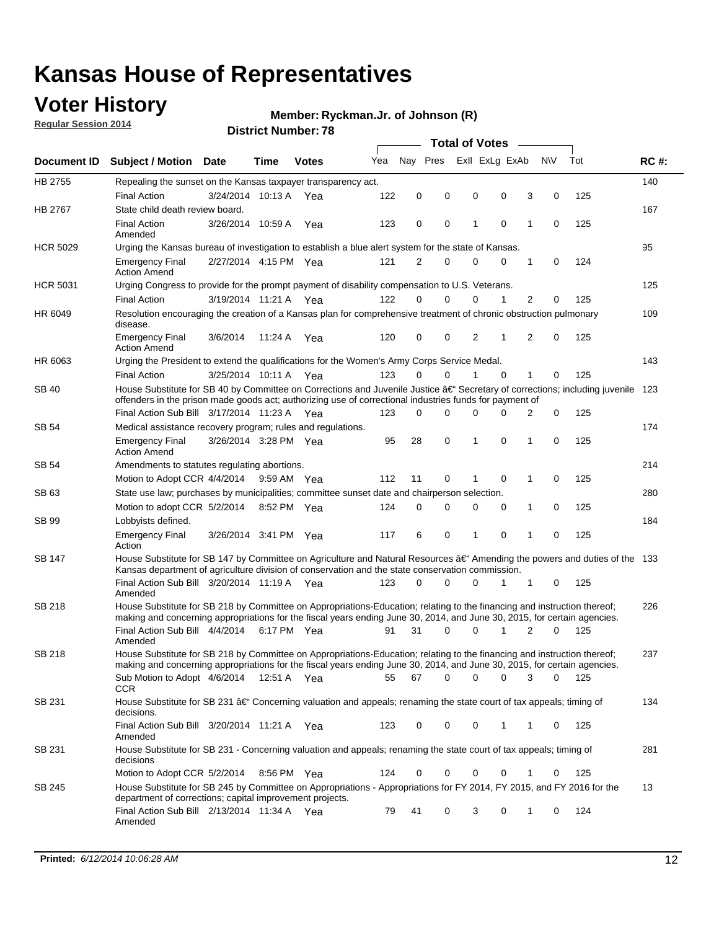### **Voter History**

**Regular Session 2014**

#### **Ryckman.Jr. of Johnson (R)**

| <b>Document ID</b> |                                                                                                                                                                                                                                      |                                                                                                                   |             |              |     | <b>Total of Votes</b> |          |   |                |             |                |             |     |             |
|--------------------|--------------------------------------------------------------------------------------------------------------------------------------------------------------------------------------------------------------------------------------|-------------------------------------------------------------------------------------------------------------------|-------------|--------------|-----|-----------------------|----------|---|----------------|-------------|----------------|-------------|-----|-------------|
|                    | <b>Subject / Motion Date</b>                                                                                                                                                                                                         |                                                                                                                   | Time        | <b>Votes</b> | Yea | Nav Pres              |          |   | Exll ExLg ExAb |             |                | N\V         | Tot | <b>RC#:</b> |
| HB 2755            | Repealing the sunset on the Kansas taxpayer transparency act.                                                                                                                                                                        |                                                                                                                   |             |              |     |                       |          |   |                |             |                |             |     | 140         |
|                    | <b>Final Action</b>                                                                                                                                                                                                                  | 3/24/2014 10:13 A                                                                                                 |             | Yea          | 122 | 0                     | 0        | 0 |                | 0           | 3              | 0           | 125 |             |
| HB 2767            | State child death review board.                                                                                                                                                                                                      |                                                                                                                   |             |              |     |                       |          |   |                |             |                |             |     | 167         |
|                    | <b>Final Action</b><br>Amended                                                                                                                                                                                                       | 3/26/2014 10:59 A                                                                                                 |             | Yea          | 123 | 0                     | 0        | 1 |                | $\mathbf 0$ | 1              | 0           | 125 |             |
| <b>HCR 5029</b>    | Urging the Kansas bureau of investigation to establish a blue alert system for the state of Kansas.                                                                                                                                  |                                                                                                                   |             |              |     |                       |          |   |                |             |                |             |     | 95          |
|                    | <b>Emergency Final</b><br><b>Action Amend</b>                                                                                                                                                                                        | 2/27/2014 4:15 PM Yea                                                                                             |             |              | 121 | 2                     | 0        | 0 |                | 0           | 1              | 0           | 124 |             |
| <b>HCR 5031</b>    | Urging Congress to provide for the prompt payment of disability compensation to U.S. Veterans.                                                                                                                                       |                                                                                                                   |             |              |     |                       |          |   |                |             |                |             |     | 125         |
|                    | <b>Final Action</b>                                                                                                                                                                                                                  | 3/19/2014 11:21 A Yea                                                                                             |             |              | 122 | $\Omega$              | $\Omega$ |   | 0              | 1           | 2              | 0           | 125 |             |
| HR 6049            | disease.                                                                                                                                                                                                                             | Resolution encouraging the creation of a Kansas plan for comprehensive treatment of chronic obstruction pulmonary |             |              |     |                       |          |   |                |             |                |             |     | 109         |
|                    | <b>Emergency Final</b><br><b>Action Amend</b>                                                                                                                                                                                        | 3/6/2014                                                                                                          | 11:24 A     | Yea          | 120 | 0                     | 0        | 2 |                | 1           | $\overline{2}$ | $\mathbf 0$ | 125 |             |
| HR 6063            | Urging the President to extend the qualifications for the Women's Army Corps Service Medal.                                                                                                                                          |                                                                                                                   |             |              |     |                       |          |   |                |             |                |             |     | 143         |
|                    | <b>Final Action</b>                                                                                                                                                                                                                  | 3/25/2014 10:11 A Yea                                                                                             |             |              | 123 | $\Omega$              | $\Omega$ | 1 |                | $\Omega$    | 1              | 0           | 125 |             |
| SB 40              | House Substitute for SB 40 by Committee on Corrections and Juvenile Justice †Secretary of corrections; including juvenile<br>offenders in the prison made goods act; authorizing use of correctional industries funds for payment of |                                                                                                                   |             |              |     |                       |          |   |                |             |                |             |     | 123         |
|                    | Final Action Sub Bill 3/17/2014 11:23 A Yea                                                                                                                                                                                          |                                                                                                                   |             |              | 123 | 0                     | 0        | 0 |                | $\Omega$    | 2              | 0           | 125 |             |
| SB 54              | Medical assistance recovery program; rules and regulations.                                                                                                                                                                          |                                                                                                                   |             |              |     |                       |          |   |                |             |                |             |     | 174         |
|                    | <b>Emergency Final</b><br><b>Action Amend</b>                                                                                                                                                                                        | 3/26/2014 3:28 PM Yea                                                                                             |             |              | 95  | 28                    | 0        | 1 |                | 0           | 1              | 0           | 125 |             |
| SB 54              | Amendments to statutes regulating abortions.                                                                                                                                                                                         |                                                                                                                   |             |              |     |                       |          |   |                |             |                |             |     | 214         |
|                    | Motion to Adopt CCR 4/4/2014                                                                                                                                                                                                         |                                                                                                                   | 9:59 AM Yea |              | 112 | 11                    | 0        |   |                | $\mathbf 0$ | 1              | 0           | 125 |             |
| SB 63              | State use law; purchases by municipalities; committee sunset date and chairperson selection.                                                                                                                                         |                                                                                                                   |             |              |     |                       |          |   |                |             |                |             |     | 280         |
|                    | Motion to adopt CCR 5/2/2014                                                                                                                                                                                                         |                                                                                                                   |             | 8:52 PM Yea  | 124 | 0                     | 0        |   | 0              | 0           | 1              | 0           | 125 |             |
| SB 99              | Lobbyists defined.                                                                                                                                                                                                                   |                                                                                                                   |             |              |     |                       |          |   |                |             |                |             |     | 184         |
|                    | <b>Emergency Final</b><br>Action                                                                                                                                                                                                     | 3/26/2014 3:41 PM Yea                                                                                             |             |              | 117 | 6                     | 0        | 1 |                | 0           | 1              | 0           | 125 |             |
| SB 147             | House Substitute for SB 147 by Committee on Agriculture and Natural Resources †Amending the powers and duties of the 133<br>Kansas department of agriculture division of conservation and the state conservation commission.         |                                                                                                                   |             |              |     |                       |          |   |                |             |                |             |     |             |
|                    | Final Action Sub Bill 3/20/2014 11:19 A Yea<br>Amended                                                                                                                                                                               |                                                                                                                   |             |              | 123 | 0                     | $\Omega$ | 0 |                | 1           | 1              | 0           | 125 |             |
| <b>SB 218</b>      | House Substitute for SB 218 by Committee on Appropriations-Education; relating to the financing and instruction thereof;                                                                                                             |                                                                                                                   |             |              |     |                       |          |   |                |             |                |             |     | 226         |
|                    | making and concerning appropriations for the fiscal years ending June 30, 2014, and June 30, 2015, for certain agencies.<br>Final Action Sub Bill 4/4/2014                                                                           |                                                                                                                   | 6:17 PM Yea |              | 91  | 31                    | $\Omega$ | 0 |                | 1           | $\overline{2}$ | $\Omega$    | 125 |             |
|                    | Amended                                                                                                                                                                                                                              |                                                                                                                   |             |              |     |                       |          |   |                |             |                |             |     |             |
| <b>SB 218</b>      | House Substitute for SB 218 by Committee on Appropriations-Education; relating to the financing and instruction thereof;                                                                                                             |                                                                                                                   |             |              |     |                       |          |   |                |             |                |             |     | 237         |
|                    | making and concerning appropriations for the fiscal years ending June 30, 2014, and June 30, 2015, for certain agencies.                                                                                                             |                                                                                                                   |             |              |     |                       |          |   |                |             |                |             |     |             |
|                    | Sub Motion to Adopt 4/6/2014 12:51 A Yea                                                                                                                                                                                             |                                                                                                                   |             |              | 55  | 67                    | 0        |   | 0              | 0           | 3              | 0           | 125 |             |
| SB 231             | <b>CCR</b><br>House Substitute for SB 231 †Concerning valuation and appeals; renaming the state court of tax appeals; timing of<br>decisions.                                                                                        |                                                                                                                   |             |              |     |                       |          |   |                |             |                |             |     | 134         |
|                    | Final Action Sub Bill 3/20/2014 11:21 A Yea                                                                                                                                                                                          |                                                                                                                   |             |              | 123 | 0                     | 0        |   | 0              | 1           | 1              | 0           | 125 |             |
| SB 231             | Amended<br>House Substitute for SB 231 - Concerning valuation and appeals; renaming the state court of tax appeals; timing of<br>decisions                                                                                           |                                                                                                                   |             |              |     |                       |          |   |                |             |                |             |     | 281         |
|                    | Motion to Adopt CCR 5/2/2014                                                                                                                                                                                                         |                                                                                                                   |             | 8:56 PM Yea  | 124 | 0                     | 0        |   | 0              | 0           | 1              | 0           | 125 |             |
| SB 245             | House Substitute for SB 245 by Committee on Appropriations - Appropriations for FY 2014, FY 2015, and FY 2016 for the                                                                                                                |                                                                                                                   |             |              |     |                       |          |   |                |             |                |             |     | 13          |
|                    | department of corrections; capital improvement projects.<br>Final Action Sub Bill 2/13/2014 11:34 A Yea                                                                                                                              |                                                                                                                   |             |              | 79  | 41                    | 0        |   | 3              | 0           | 1              | 0           | 124 |             |
|                    | Amended                                                                                                                                                                                                                              |                                                                                                                   |             |              |     |                       |          |   |                |             |                |             |     |             |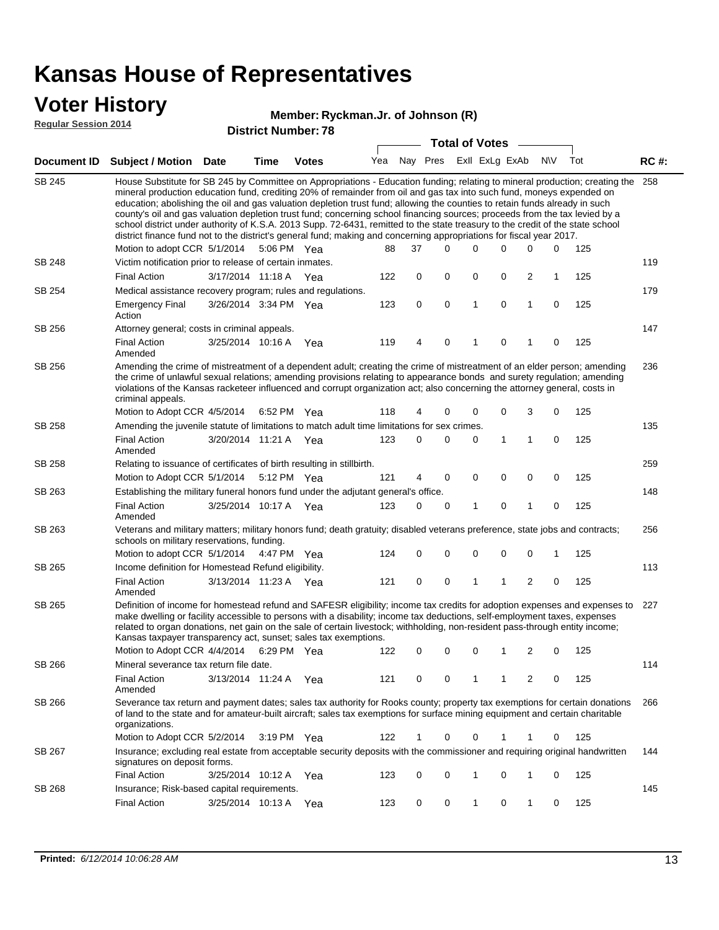### **Voter History**

#### **Ryckman.Jr. of Johnson (R)**

**Regular Session 2014**

|        |                                                                                                                                                                                                                                                                                                                                                                                                                                                                                                                                                                                                                                                                                                                                                                               |                       |      |              | <b>Total of Votes</b> |    |          |              |                |             |                         |           |     |             |  |  |  |  |
|--------|-------------------------------------------------------------------------------------------------------------------------------------------------------------------------------------------------------------------------------------------------------------------------------------------------------------------------------------------------------------------------------------------------------------------------------------------------------------------------------------------------------------------------------------------------------------------------------------------------------------------------------------------------------------------------------------------------------------------------------------------------------------------------------|-----------------------|------|--------------|-----------------------|----|----------|--------------|----------------|-------------|-------------------------|-----------|-----|-------------|--|--|--|--|
|        | Document ID Subject / Motion Date                                                                                                                                                                                                                                                                                                                                                                                                                                                                                                                                                                                                                                                                                                                                             |                       | Time | <b>Votes</b> | Yea                   |    | Nay Pres |              | Exll ExLg ExAb |             |                         | <b>NV</b> | Tot | <b>RC#:</b> |  |  |  |  |
| SB 245 | House Substitute for SB 245 by Committee on Appropriations - Education funding; relating to mineral production; creating the<br>mineral production education fund, crediting 20% of remainder from oil and gas tax into such fund, moneys expended on<br>education; abolishing the oil and gas valuation depletion trust fund; allowing the counties to retain funds already in such<br>county's oil and gas valuation depletion trust fund; concerning school financing sources; proceeds from the tax levied by a<br>school district under authority of K.S.A. 2013 Supp. 72-6431, remitted to the state treasury to the credit of the state school<br>district finance fund not to the district's general fund; making and concerning appropriations for fiscal year 2017. |                       |      |              |                       |    |          |              |                |             |                         |           |     | 258         |  |  |  |  |
|        | Motion to adopt CCR 5/1/2014                                                                                                                                                                                                                                                                                                                                                                                                                                                                                                                                                                                                                                                                                                                                                  |                       |      | 5:06 PM Yea  | 88                    | 37 | 0        |              | $\Omega$       | 0           | 0                       | 0         | 125 |             |  |  |  |  |
| SB 248 | Victim notification prior to release of certain inmates.                                                                                                                                                                                                                                                                                                                                                                                                                                                                                                                                                                                                                                                                                                                      |                       |      |              |                       |    |          |              |                |             |                         |           |     | 119         |  |  |  |  |
|        | <b>Final Action</b>                                                                                                                                                                                                                                                                                                                                                                                                                                                                                                                                                                                                                                                                                                                                                           | 3/17/2014 11:18 A Yea |      |              | 122                   | 0  | 0        | 0            |                | 0           | $\overline{\mathbf{c}}$ | 1         | 125 |             |  |  |  |  |
| SB 254 | Medical assistance recovery program; rules and regulations.                                                                                                                                                                                                                                                                                                                                                                                                                                                                                                                                                                                                                                                                                                                   |                       |      |              |                       |    |          |              |                |             |                         |           |     | 179         |  |  |  |  |
|        | <b>Emergency Final</b><br>Action                                                                                                                                                                                                                                                                                                                                                                                                                                                                                                                                                                                                                                                                                                                                              | 3/26/2014 3:34 PM Yea |      |              | 123                   | 0  | 0        | $\mathbf{1}$ |                | 0           | 1                       | 0         | 125 |             |  |  |  |  |
| SB 256 | Attorney general; costs in criminal appeals.                                                                                                                                                                                                                                                                                                                                                                                                                                                                                                                                                                                                                                                                                                                                  |                       |      |              |                       |    |          |              |                |             |                         |           |     | 147         |  |  |  |  |
|        | <b>Final Action</b><br>Amended                                                                                                                                                                                                                                                                                                                                                                                                                                                                                                                                                                                                                                                                                                                                                | 3/25/2014 10:16 A     |      | Yea          | 119                   | 4  | 0        | 1            |                | 0           | 1                       | 0         | 125 |             |  |  |  |  |
| SB 256 | Amending the crime of mistreatment of a dependent adult; creating the crime of mistreatment of an elder person; amending<br>the crime of unlawful sexual relations; amending provisions relating to appearance bonds and surety regulation; amending<br>violations of the Kansas racketeer influenced and corrupt organization act; also concerning the attorney general, costs in<br>criminal appeals.                                                                                                                                                                                                                                                                                                                                                                       |                       |      |              |                       |    |          |              |                |             |                         |           |     | 236         |  |  |  |  |
|        | Motion to Adopt CCR 4/5/2014                                                                                                                                                                                                                                                                                                                                                                                                                                                                                                                                                                                                                                                                                                                                                  |                       |      | 6:52 PM Yea  | 118                   | 4  | 0        | 0            |                | 0           | 3                       | 0         | 125 |             |  |  |  |  |
| SB 258 | Amending the juvenile statute of limitations to match adult time limitations for sex crimes.                                                                                                                                                                                                                                                                                                                                                                                                                                                                                                                                                                                                                                                                                  |                       |      |              |                       |    |          |              |                |             |                         |           |     | 135         |  |  |  |  |
|        | <b>Final Action</b><br>Amended                                                                                                                                                                                                                                                                                                                                                                                                                                                                                                                                                                                                                                                                                                                                                | 3/20/2014 11:21 A Yea |      |              | 123                   | 0  | 0        | 0            |                | 1           | $\mathbf{1}$            | 0         | 125 |             |  |  |  |  |
| SB 258 | Relating to issuance of certificates of birth resulting in stillbirth.                                                                                                                                                                                                                                                                                                                                                                                                                                                                                                                                                                                                                                                                                                        |                       |      |              |                       |    |          |              |                |             |                         |           |     | 259         |  |  |  |  |
|        | Motion to Adopt CCR 5/1/2014                                                                                                                                                                                                                                                                                                                                                                                                                                                                                                                                                                                                                                                                                                                                                  |                       |      | 5:12 PM Yea  | 121                   | 4  | 0        | 0            |                | $\mathbf 0$ | 0                       | 0         | 125 |             |  |  |  |  |
| SB 263 | Establishing the military funeral honors fund under the adjutant general's office.                                                                                                                                                                                                                                                                                                                                                                                                                                                                                                                                                                                                                                                                                            |                       |      |              |                       |    |          |              |                |             |                         |           |     | 148         |  |  |  |  |
|        | <b>Final Action</b><br>Amended                                                                                                                                                                                                                                                                                                                                                                                                                                                                                                                                                                                                                                                                                                                                                | 3/25/2014 10:17 A Yea |      |              | 123                   | 0  | 0        | 1            |                | 0           | 1                       | 0         | 125 |             |  |  |  |  |
| SB 263 | Veterans and military matters; military honors fund; death gratuity; disabled veterans preference, state jobs and contracts;<br>schools on military reservations, funding.                                                                                                                                                                                                                                                                                                                                                                                                                                                                                                                                                                                                    |                       |      |              |                       |    |          |              |                |             |                         |           |     | 256         |  |  |  |  |
|        | Motion to adopt CCR 5/1/2014                                                                                                                                                                                                                                                                                                                                                                                                                                                                                                                                                                                                                                                                                                                                                  |                       |      | 4:47 PM Yea  | 124                   | 0  | 0        | 0            |                | 0           | 0                       | 1         | 125 |             |  |  |  |  |
| SB 265 | Income definition for Homestead Refund eligibility.                                                                                                                                                                                                                                                                                                                                                                                                                                                                                                                                                                                                                                                                                                                           |                       |      |              |                       |    |          |              |                |             |                         |           |     | 113         |  |  |  |  |
|        | <b>Final Action</b><br>Amended                                                                                                                                                                                                                                                                                                                                                                                                                                                                                                                                                                                                                                                                                                                                                | 3/13/2014 11:23 A Yea |      |              | 121                   | 0  | 0        | 1            |                | 1           | $\overline{2}$          | 0         | 125 |             |  |  |  |  |
| SB 265 | Definition of income for homestead refund and SAFESR eligibility; income tax credits for adoption expenses and expenses to<br>make dwelling or facility accessible to persons with a disability; income tax deductions, self-employment taxes, expenses<br>related to organ donations, net gain on the sale of certain livestock; withholding, non-resident pass-through entity income;<br>Kansas taxpayer transparency act, sunset; sales tax exemptions.                                                                                                                                                                                                                                                                                                                    |                       |      |              |                       |    |          |              |                |             |                         |           |     | 227         |  |  |  |  |
|        | Motion to Adopt CCR 4/4/2014 6:29 PM Yea                                                                                                                                                                                                                                                                                                                                                                                                                                                                                                                                                                                                                                                                                                                                      |                       |      |              | 122                   | 0  | 0        | 0            |                | 1           | 2                       | 0         | 125 |             |  |  |  |  |
| SB 266 | Mineral severance tax return file date.                                                                                                                                                                                                                                                                                                                                                                                                                                                                                                                                                                                                                                                                                                                                       |                       |      |              |                       |    |          |              |                |             |                         |           |     | 114         |  |  |  |  |
|        | <b>Final Action</b><br>Amended                                                                                                                                                                                                                                                                                                                                                                                                                                                                                                                                                                                                                                                                                                                                                | 3/13/2014 11:24 A Yea |      |              | 121                   | 0  | 0        | 1            |                | 1           | 2                       | 0         | 125 |             |  |  |  |  |
| SB 266 | Severance tax return and payment dates; sales tax authority for Rooks county; property tax exemptions for certain donations<br>of land to the state and for amateur-built aircraft; sales tax exemptions for surface mining equipment and certain charitable<br>organizations.                                                                                                                                                                                                                                                                                                                                                                                                                                                                                                |                       |      |              |                       |    |          |              |                |             |                         |           |     | 266         |  |  |  |  |
|        | Motion to Adopt CCR 5/2/2014                                                                                                                                                                                                                                                                                                                                                                                                                                                                                                                                                                                                                                                                                                                                                  |                       |      | 3:19 PM Yea  | 122                   | 1  | 0        |              | 0              | 1           | 1                       | 0         | 125 |             |  |  |  |  |
| SB 267 | Insurance; excluding real estate from acceptable security deposits with the commissioner and requiring original handwritten<br>signatures on deposit forms.                                                                                                                                                                                                                                                                                                                                                                                                                                                                                                                                                                                                                   |                       |      |              |                       |    |          |              |                |             |                         |           |     | 144         |  |  |  |  |
|        | <b>Final Action</b>                                                                                                                                                                                                                                                                                                                                                                                                                                                                                                                                                                                                                                                                                                                                                           | 3/25/2014 10:12 A Yea |      |              | 123                   | 0  | 0        | 1            |                | 0           | 1                       | 0         | 125 |             |  |  |  |  |
| SB 268 | Insurance; Risk-based capital requirements.                                                                                                                                                                                                                                                                                                                                                                                                                                                                                                                                                                                                                                                                                                                                   |                       |      |              |                       |    |          |              |                |             |                         |           |     | 145         |  |  |  |  |
|        | <b>Final Action</b>                                                                                                                                                                                                                                                                                                                                                                                                                                                                                                                                                                                                                                                                                                                                                           | 3/25/2014 10:13 A     |      | Yea          | 123                   | 0  | 0        | 1            |                | 0           | 1                       | 0         | 125 |             |  |  |  |  |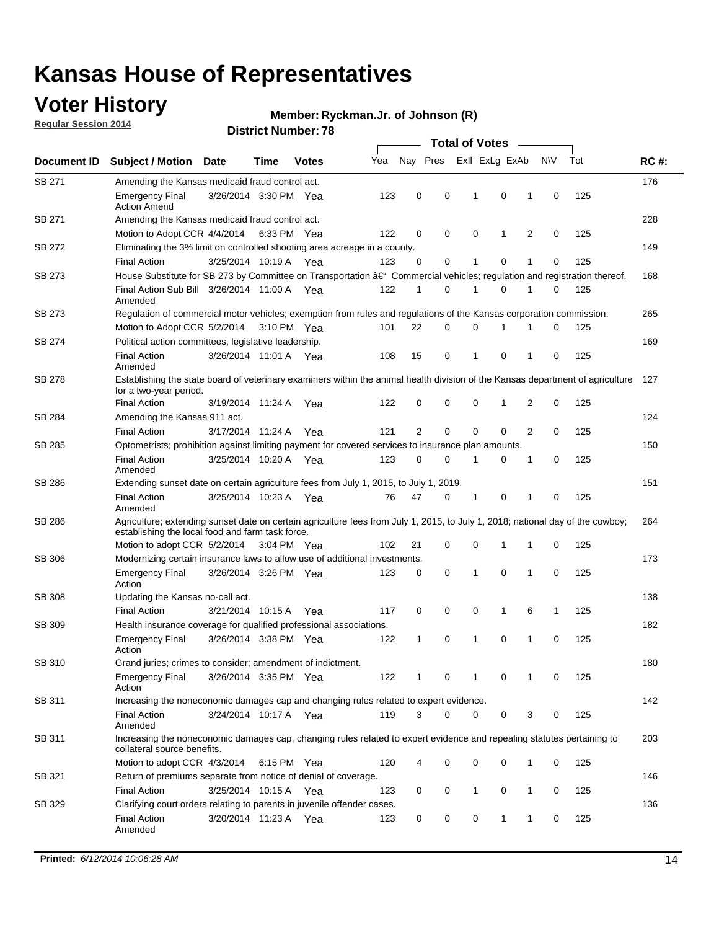### **Voter History**

**Regular Session 2014**

#### **Ryckman.Jr. of Johnson (R)**

| Document ID   |                                                                                                                                                                                    |                                                                                                                            |      |              |     | <b>Total of Votes</b> |          |                |              |   |             |     |             |  |
|---------------|------------------------------------------------------------------------------------------------------------------------------------------------------------------------------------|----------------------------------------------------------------------------------------------------------------------------|------|--------------|-----|-----------------------|----------|----------------|--------------|---|-------------|-----|-------------|--|
|               | <b>Subject / Motion</b>                                                                                                                                                            | <b>Date</b>                                                                                                                | Time | <b>Votes</b> | Yea | Nay Pres              |          | Exll ExLg ExAb |              |   | N\V         | Tot | <b>RC#:</b> |  |
| SB 271        | Amending the Kansas medicaid fraud control act.                                                                                                                                    |                                                                                                                            |      |              |     |                       |          |                |              |   |             |     | 176         |  |
|               | <b>Emergency Final</b><br><b>Action Amend</b>                                                                                                                                      | 3/26/2014 3:30 PM Yea                                                                                                      |      |              | 123 | 0                     | 0        | 1              | 0            | 1 | $\mathbf 0$ | 125 |             |  |
| SB 271        | Amending the Kansas medicaid fraud control act.                                                                                                                                    |                                                                                                                            |      |              |     |                       |          |                |              |   |             |     | 228         |  |
|               | Motion to Adopt CCR 4/4/2014 6:33 PM Yea                                                                                                                                           |                                                                                                                            |      |              | 122 | 0                     | 0        | $\mathbf 0$    | 1            | 2 | 0           | 125 |             |  |
| SB 272        | Eliminating the 3% limit on controlled shooting area acreage in a county.                                                                                                          |                                                                                                                            |      |              |     |                       |          |                |              |   |             |     | 149         |  |
|               | <b>Final Action</b>                                                                                                                                                                | 3/25/2014 10:19 A Yea                                                                                                      |      |              | 123 | 0                     | 0        | 1              | 0            | 1 | $\mathbf 0$ | 125 |             |  |
| <b>SB 273</b> | House Substitute for SB 273 by Committee on Transportation †Commercial vehicles; regulation and registration thereof.                                                              |                                                                                                                            |      |              |     |                       |          |                |              |   |             |     | 168         |  |
|               | Final Action Sub Bill 3/26/2014 11:00 A Yea<br>Amended                                                                                                                             |                                                                                                                            |      |              | 122 | 1                     | 0        | 1              | 0            | 1 | 0           | 125 |             |  |
| SB 273        |                                                                                                                                                                                    | Regulation of commercial motor vehicles; exemption from rules and regulations of the Kansas corporation commission.<br>265 |      |              |     |                       |          |                |              |   |             |     |             |  |
|               | Motion to Adopt CCR 5/2/2014 3:10 PM Yea                                                                                                                                           |                                                                                                                            |      |              | 101 | 22                    | 0        | 0              | 1            | 1 | 0           | 125 |             |  |
| SB 274        | Political action committees, legislative leadership.                                                                                                                               |                                                                                                                            |      |              |     |                       |          |                |              |   |             |     | 169         |  |
|               | <b>Final Action</b><br>Amended                                                                                                                                                     | 3/26/2014 11:01 A Yea                                                                                                      |      |              | 108 | 15                    | 0        | 1              | 0            | 1 | 0           | 125 |             |  |
| <b>SB 278</b> | Establishing the state board of veterinary examiners within the animal health division of the Kansas department of agriculture<br>127<br>for a two-year period.                    |                                                                                                                            |      |              |     |                       |          |                |              |   |             |     |             |  |
|               | <b>Final Action</b>                                                                                                                                                                | 3/19/2014 11:24 A                                                                                                          |      | Yea          | 122 | 0                     | 0        | 0              | $\mathbf{1}$ | 2 | $\mathbf 0$ | 125 |             |  |
| SB 284        | Amending the Kansas 911 act.                                                                                                                                                       |                                                                                                                            |      |              |     |                       |          |                |              |   |             |     | 124         |  |
|               | <b>Final Action</b>                                                                                                                                                                | 3/17/2014 11:24 A                                                                                                          |      | Yea          | 121 | $\overline{2}$        | 0        | 0              | 0            | 2 | 0           | 125 |             |  |
| SB 285        | Optometrists; prohibition against limiting payment for covered services to insurance plan amounts.                                                                                 |                                                                                                                            |      |              |     |                       |          |                |              |   |             |     | 150         |  |
|               | <b>Final Action</b><br>Amended                                                                                                                                                     | 3/25/2014 10:20 A                                                                                                          |      | Yea          | 123 | 0                     | 0        | 1              | 0            | 1 | 0           | 125 |             |  |
| SB 286        | Extending sunset date on certain agriculture fees from July 1, 2015, to July 1, 2019.                                                                                              |                                                                                                                            |      |              |     |                       |          |                |              |   |             |     | 151         |  |
|               | <b>Final Action</b><br>Amended                                                                                                                                                     | 3/25/2014 10:23 A Yea                                                                                                      |      |              | 76  | 47                    | 0        | 1              | 0            | 1 | 0           | 125 |             |  |
| SB 286        | Agriculture; extending sunset date on certain agriculture fees from July 1, 2015, to July 1, 2018; national day of the cowboy;<br>establishing the local food and farm task force. |                                                                                                                            |      |              |     |                       |          |                |              |   |             |     | 264         |  |
|               | Motion to adopt CCR 5/2/2014 3:04 PM Yea                                                                                                                                           |                                                                                                                            |      |              | 102 | 21                    | 0        | $\mathbf 0$    | 1            | 1 | 0           | 125 |             |  |
| SB 306        | Modernizing certain insurance laws to allow use of additional investments.                                                                                                         |                                                                                                                            |      |              |     |                       |          |                |              |   |             |     | 173         |  |
|               | <b>Emergency Final</b><br>Action                                                                                                                                                   | 3/26/2014 3:26 PM Yea                                                                                                      |      |              | 123 | 0                     | 0        | 1              | $\mathbf 0$  | 1 | 0           | 125 |             |  |
| <b>SB 308</b> | Updating the Kansas no-call act.                                                                                                                                                   |                                                                                                                            |      |              |     |                       |          |                |              |   |             |     | 138         |  |
|               | <b>Final Action</b>                                                                                                                                                                | 3/21/2014 10:15 A                                                                                                          |      | Yea          | 117 | 0                     | 0        | 0              | $\mathbf{1}$ | 6 | 1           | 125 |             |  |
| SB 309        | Health insurance coverage for qualified professional associations.                                                                                                                 |                                                                                                                            |      |              |     |                       |          |                |              |   |             |     | 182         |  |
|               | <b>Emergency Final</b><br>Action                                                                                                                                                   | 3/26/2014 3:38 PM Yea                                                                                                      |      |              | 122 | 1                     | 0        | 1              | 0            | 1 | $\mathbf 0$ | 125 |             |  |
| SB 310        | Grand juries; crimes to consider; amendment of indictment.                                                                                                                         |                                                                                                                            |      |              |     |                       |          |                |              |   |             |     | 180         |  |
|               | Emergency Final<br>Action                                                                                                                                                          | 3/26/2014 3:35 PM Yea                                                                                                      |      |              | 122 |                       | 0        | 1              | 0            | 1 | 0           | 125 |             |  |
| SB 311        | Increasing the noneconomic damages cap and changing rules related to expert evidence.                                                                                              |                                                                                                                            |      |              |     |                       |          |                |              |   |             |     | 142         |  |
|               | <b>Final Action</b><br>Amended                                                                                                                                                     | 3/24/2014 10:17 A Yea                                                                                                      |      |              | 119 | 3                     | $\Omega$ | 0              | 0            | 3 | 0           | 125 |             |  |
| SB 311        | Increasing the noneconomic damages cap, changing rules related to expert evidence and repealing statutes pertaining to<br>collateral source benefits.                              |                                                                                                                            |      |              |     |                       |          |                |              |   |             |     | 203         |  |
|               | Motion to adopt CCR 4/3/2014 6:15 PM Yea                                                                                                                                           |                                                                                                                            |      |              | 120 | 4                     | 0        | 0              | 0            | 1 | 0           | 125 |             |  |
| SB 321        | Return of premiums separate from notice of denial of coverage.                                                                                                                     |                                                                                                                            |      |              |     |                       |          |                |              |   |             |     | 146         |  |
|               | <b>Final Action</b>                                                                                                                                                                | 3/25/2014 10:15 A Yea                                                                                                      |      |              | 123 | 0                     | 0        | $\mathbf{1}$   | 0            | 1 | 0           | 125 |             |  |
| SB 329        | Clarifying court orders relating to parents in juvenile offender cases.<br><b>Final Action</b><br>Amended                                                                          | 3/20/2014 11:23 A Yea                                                                                                      |      |              | 123 | 0                     | 0        | 0              | $\mathbf{1}$ | 1 | 0           | 125 | 136         |  |
|               |                                                                                                                                                                                    |                                                                                                                            |      |              |     |                       |          |                |              |   |             |     |             |  |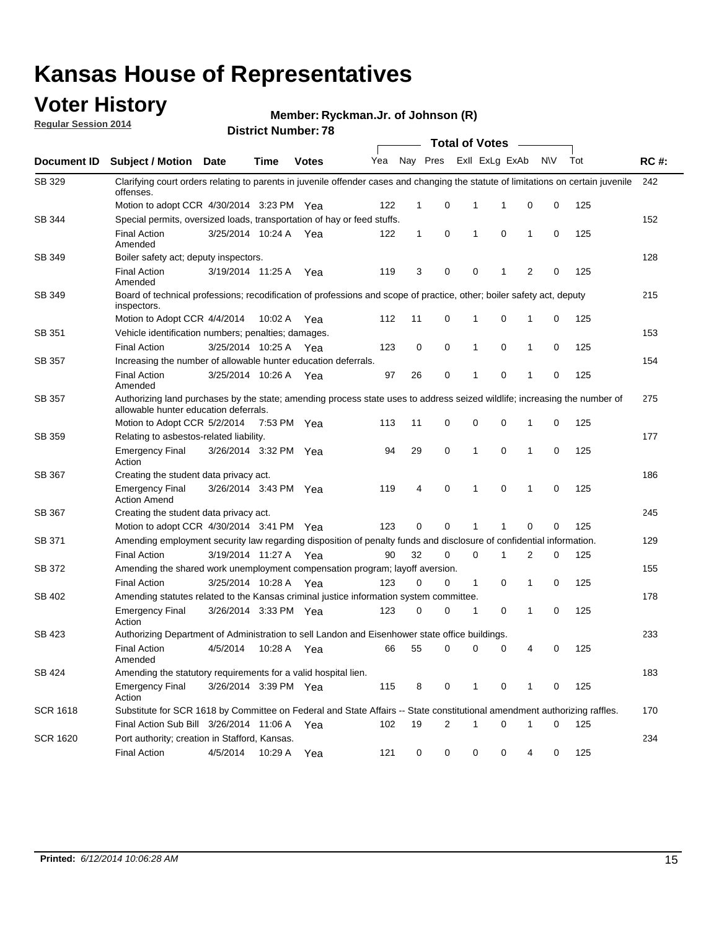### **Voter History**

**Regular Session 2014**

**Ryckman.Jr. of Johnson (R)**

|                    | <b>Total of Votes</b>                                                                                                                           |                                                                                                                                                                           |             |              |     |             |   |              |                |                |             |     |             |  |  |  |  |  |  |  |  |
|--------------------|-------------------------------------------------------------------------------------------------------------------------------------------------|---------------------------------------------------------------------------------------------------------------------------------------------------------------------------|-------------|--------------|-----|-------------|---|--------------|----------------|----------------|-------------|-----|-------------|--|--|--|--|--|--|--|--|
| <b>Document ID</b> | <b>Subject / Motion Date</b>                                                                                                                    |                                                                                                                                                                           | Time        | <b>Votes</b> | Yea | Nay Pres    |   |              | Exll ExLg ExAb |                | N\V         | Tot | <b>RC#:</b> |  |  |  |  |  |  |  |  |
| SB 329             | Clarifying court orders relating to parents in juvenile offender cases and changing the statute of limitations on certain juvenile<br>offenses. |                                                                                                                                                                           |             |              |     |             |   |              |                |                |             |     | 242         |  |  |  |  |  |  |  |  |
|                    | Motion to adopt CCR 4/30/2014 3:23 PM Yea                                                                                                       |                                                                                                                                                                           |             |              | 122 | $\mathbf 1$ | 0 | 1            | 1              | 0              | 0           | 125 |             |  |  |  |  |  |  |  |  |
| <b>SB 344</b>      | Special permits, oversized loads, transportation of hay or feed stuffs.                                                                         |                                                                                                                                                                           |             |              |     |             |   |              |                |                |             |     | 152         |  |  |  |  |  |  |  |  |
|                    | <b>Final Action</b><br>Amended                                                                                                                  | 3/25/2014 10:24 A                                                                                                                                                         |             | Yea          | 122 | 1           | 0 | 1            | 0              | $\mathbf 1$    | 0           | 125 |             |  |  |  |  |  |  |  |  |
| SB 349             | Boiler safety act; deputy inspectors.                                                                                                           |                                                                                                                                                                           |             |              |     |             |   |              |                |                |             |     | 128         |  |  |  |  |  |  |  |  |
|                    | <b>Final Action</b><br>Amended                                                                                                                  | 3/19/2014 11:25 A                                                                                                                                                         |             | Yea          | 119 | 3           | 0 | 0            | 1              | $\overline{2}$ | $\mathbf 0$ | 125 |             |  |  |  |  |  |  |  |  |
| SB 349             | 215<br>Board of technical professions; recodification of professions and scope of practice, other; boiler safety act, deputy<br>inspectors.     |                                                                                                                                                                           |             |              |     |             |   |              |                |                |             |     |             |  |  |  |  |  |  |  |  |
|                    | Motion to Adopt CCR 4/4/2014                                                                                                                    |                                                                                                                                                                           | 10:02 A     | Yea          | 112 | 11          | 0 | 1            | 0              | 1              | 0           | 125 |             |  |  |  |  |  |  |  |  |
| SB 351             | Vehicle identification numbers; penalties; damages.                                                                                             |                                                                                                                                                                           |             |              |     |             |   |              |                |                |             |     | 153         |  |  |  |  |  |  |  |  |
|                    | <b>Final Action</b>                                                                                                                             | 3/25/2014 10:25 A                                                                                                                                                         |             | Yea          | 123 | 0           | 0 | 1            | 0              | $\mathbf{1}$   | 0           | 125 |             |  |  |  |  |  |  |  |  |
| SB 357             | Increasing the number of allowable hunter education deferrals.                                                                                  |                                                                                                                                                                           |             |              |     |             |   |              |                |                |             | 154 |             |  |  |  |  |  |  |  |  |
|                    | <b>Final Action</b><br>Amended                                                                                                                  | 3/25/2014 10:26 A                                                                                                                                                         |             | Yea          | 97  | 26          | 0 | 1            | 0              | $\mathbf{1}$   | 0           | 125 |             |  |  |  |  |  |  |  |  |
| SB 357             |                                                                                                                                                 | 275<br>Authorizing land purchases by the state; amending process state uses to address seized wildlife; increasing the number of<br>allowable hunter education deferrals. |             |              |     |             |   |              |                |                |             |     |             |  |  |  |  |  |  |  |  |
|                    | Motion to Adopt CCR 5/2/2014                                                                                                                    |                                                                                                                                                                           | 7:53 PM Yea |              | 113 | 11          | 0 | 0            | 0              | -1             | 0           | 125 |             |  |  |  |  |  |  |  |  |
| <b>SB 359</b>      | Relating to asbestos-related liability.                                                                                                         |                                                                                                                                                                           |             |              |     |             |   |              |                |                |             |     | 177         |  |  |  |  |  |  |  |  |
|                    | <b>Emergency Final</b><br>Action                                                                                                                | 3/26/2014 3:32 PM Yea                                                                                                                                                     |             |              | 94  | 29          | 0 | 1            | $\mathbf 0$    | $\mathbf 1$    | $\mathbf 0$ | 125 |             |  |  |  |  |  |  |  |  |
| <b>SB 367</b>      | 186<br>Creating the student data privacy act.                                                                                                   |                                                                                                                                                                           |             |              |     |             |   |              |                |                |             |     |             |  |  |  |  |  |  |  |  |
|                    | <b>Emergency Final</b><br><b>Action Amend</b>                                                                                                   | 3/26/2014 3:43 PM Yea                                                                                                                                                     |             |              | 119 | 4           | 0 | 1            | 0              | -1             | 0           | 125 |             |  |  |  |  |  |  |  |  |
| SB 367             | Creating the student data privacy act.                                                                                                          |                                                                                                                                                                           |             |              |     |             |   |              |                |                |             |     | 245         |  |  |  |  |  |  |  |  |
|                    | Motion to adopt CCR 4/30/2014 3:41 PM Yea                                                                                                       |                                                                                                                                                                           |             |              | 123 | 0           | 0 | 1            | 1              | 0              | 0           | 125 |             |  |  |  |  |  |  |  |  |
| SB 371             | Amending employment security law regarding disposition of penalty funds and disclosure of confidential information.                             |                                                                                                                                                                           |             |              |     |             |   |              |                |                |             |     | 129         |  |  |  |  |  |  |  |  |
|                    | <b>Final Action</b>                                                                                                                             | 3/19/2014 11:27 A Yea                                                                                                                                                     |             |              | 90  | 32          | 0 | 0            | 1              | 2              | 0           | 125 |             |  |  |  |  |  |  |  |  |
| <b>SB 372</b>      | Amending the shared work unemployment compensation program; layoff aversion.                                                                    |                                                                                                                                                                           |             |              |     |             |   |              |                |                |             |     | 155         |  |  |  |  |  |  |  |  |
|                    | <b>Final Action</b>                                                                                                                             | 3/25/2014 10:28 A                                                                                                                                                         |             | Yea          | 123 | 0           | 0 | $\mathbf{1}$ | 0              | $\mathbf{1}$   | 0           | 125 |             |  |  |  |  |  |  |  |  |
| SB 402             | Amending statutes related to the Kansas criminal justice information system committee.                                                          |                                                                                                                                                                           |             |              |     |             |   |              |                |                |             |     | 178         |  |  |  |  |  |  |  |  |
|                    | <b>Emergency Final</b><br>Action                                                                                                                | 3/26/2014 3:33 PM                                                                                                                                                         |             | Yea          | 123 | 0           | 0 | 1            | 0              | $\mathbf{1}$   | 0           | 125 |             |  |  |  |  |  |  |  |  |
| SB 423             | Authorizing Department of Administration to sell Landon and Eisenhower state office buildings.                                                  |                                                                                                                                                                           |             |              |     |             |   |              |                |                |             |     | 233         |  |  |  |  |  |  |  |  |
|                    | <b>Final Action</b><br>Amended                                                                                                                  | 4/5/2014                                                                                                                                                                  | 10:28 A     | Yea          | 66  | 55          | 0 | 0            | 0              | 4              | 0           | 125 |             |  |  |  |  |  |  |  |  |
| SB 424             | Amending the statutory requirements for a valid hospital lien.                                                                                  |                                                                                                                                                                           |             |              |     |             |   |              |                |                |             |     | 183         |  |  |  |  |  |  |  |  |
|                    | <b>Emergency Final</b><br>Action                                                                                                                | 3/26/2014 3:39 PM Yea                                                                                                                                                     |             |              | 115 | 8           | 0 | 1            | 0              | -1             | 0           | 125 |             |  |  |  |  |  |  |  |  |
| SCR 1618           | Substitute for SCR 1618 by Committee on Federal and State Affairs -- State constitutional amendment authorizing raffles.                        |                                                                                                                                                                           |             |              |     |             |   |              |                |                |             |     | 170         |  |  |  |  |  |  |  |  |
|                    | Final Action Sub Bill 3/26/2014 11:06 A                                                                                                         |                                                                                                                                                                           |             | Yea          | 102 | 19          | 2 | 1            | 0              | -1             | 0           | 125 |             |  |  |  |  |  |  |  |  |
| SCR 1620           | Port authority; creation in Stafford, Kansas.                                                                                                   |                                                                                                                                                                           |             |              |     |             |   |              |                |                |             |     | 234         |  |  |  |  |  |  |  |  |
|                    | <b>Final Action</b>                                                                                                                             | 4/5/2014                                                                                                                                                                  | 10:29 A     | Yea          | 121 | 0           | 0 | 0            | 0              | 4              | 0           | 125 |             |  |  |  |  |  |  |  |  |